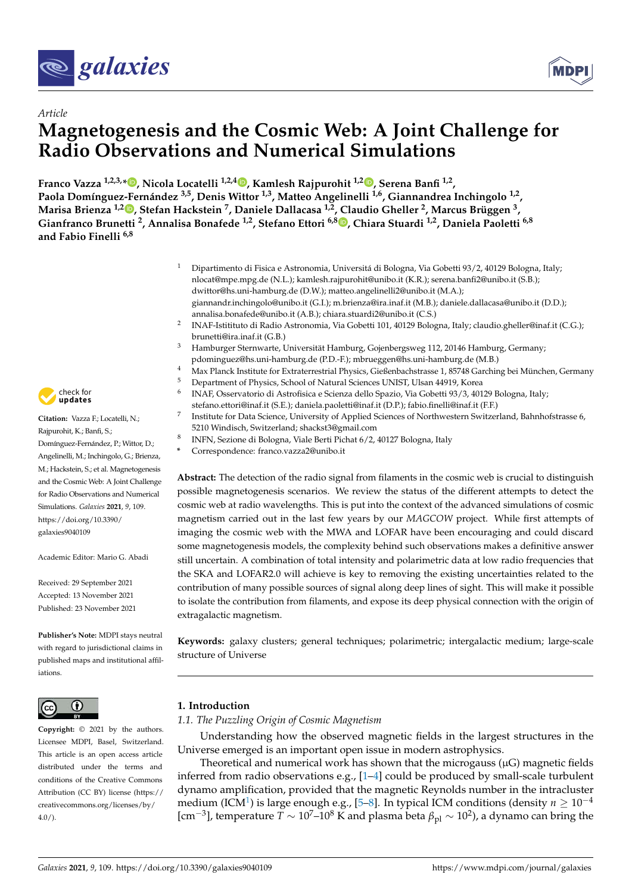<span id="page-0-1"></span>



# *Article* **Magnetogenesis and the Cosmic Web: A Joint Challenge for Radio Observations and Numerical Simulations**

**Franco Vazza 1,2,3,\* [,](https://orcid.org/0000-0002-2821-7928) Nicola Locatelli 1,2,4 [,](https://orcid.org/0000-0002-3955-8189) Kamlesh Rajpurohit 1,2 [,](https://orcid.org/0000-0001-7509-2972) Serena Banfi 1,2 , Paola Domíngue[z-Fe](https://orcid.org/0000-0003-4120-9970)rnández 3,5, Denis Wittor 1,3, Matteo Angelinelli 1,6, Giannandrea Inchingolo 1,2 , Marisa Brienza 1,2 , Stefan Hackstein <sup>7</sup> , Daniele Dallacasa 1,2, Claudio Gheller <sup>2</sup> , Marcus Brüggen <sup>3</sup> , Gianfranco Brunetti <sup>2</sup> , Annalisa Bonafede 1,2, Stefano Ettori 6,8 [,](https://orcid.org/0000-0003-4117-8617) Chiara Stuardi 1,2, Daniela Paoletti 6,8 and Fabio Finelli 6,8**

- <sup>1</sup> Dipartimento di Fisica e Astronomia, Universitá di Bologna, Via Gobetti 93/2, 40129 Bologna, Italy; nlocat@mpe.mpg.de (N.L.); kamlesh.rajpurohit@unibo.it (K.R.); serena.banfi2@unibo.it (S.B.); dwittor@hs.uni-hamburg.de (D.W.); matteo.angelinelli2@unibo.it (M.A.); giannandr.inchingolo@unibo.it (G.I.); m.brienza@ira.inaf.it (M.B.); daniele.dallacasa@unibo.it (D.D.); annalisa.bonafede@unibo.it (A.B.); chiara.stuardi2@unibo.it (C.S.)
- $\overline{2}$ INAF-Istitituto di Radio Astronomia, Via Gobetti 101, 40129 Bologna, Italy; claudio.gheller@inaf.it (C.G.); brunetti@ira.inaf.it (G.B.)
- <sup>3</sup> Hamburger Sternwarte, Universität Hamburg, Gojenbergsweg 112, 20146 Hamburg, Germany; pdominguez@hs.uni-hamburg.de (P.D.-F.); mbrueggen@hs.uni-hamburg.de (M.B.)
- <sup>4</sup> Max Planck Institute for Extraterrestrial Physics, Gießenbachstrasse 1, 85748 Garching bei München, Germany
- <sup>5</sup> Department of Physics, School of Natural Sciences UNIST, Ulsan 44919, Korea
- 6 INAF, Osservatorio di Astrofisica e Scienza dello Spazio, Via Gobetti 93/3, 40129 Bologna, Italy; stefano.ettori@inaf.it (S.E.); daniela.paoletti@inaf.it (D.P.); fabio.finelli@inaf.it (F.F.)
- 7 Institute for Data Science, University of Applied Sciences of Northwestern Switzerland, Bahnhofstrasse 6, 5210 Windisch, Switzerland; shackst3@gmail.com
- 8 INFN, Sezione di Bologna, Viale Berti Pichat 6/2, 40127 Bologna, Italy
- **\*** Correspondence: franco.vazza2@unibo.it

**Abstract:** The detection of the radio signal from filaments in the cosmic web is crucial to distinguish possible magnetogenesis scenarios. We review the status of the different attempts to detect the cosmic web at radio wavelengths. This is put into the context of the advanced simulations of cosmic magnetism carried out in the last few years by our *MAGCOW* project. While first attempts of imaging the cosmic web with the MWA and LOFAR have been encouraging and could discard some magnetogenesis models, the complexity behind such observations makes a definitive answer still uncertain. A combination of total intensity and polarimetric data at low radio frequencies that the SKA and LOFAR2.0 will achieve is key to removing the existing uncertainties related to the contribution of many possible sources of signal along deep lines of sight. This will make it possible to isolate the contribution from filaments, and expose its deep physical connection with the origin of extragalactic magnetism.

**Keywords:** galaxy clusters; general techniques; polarimetric; intergalactic medium; large-scale structure of Universe

# **1. Introduction**

# <span id="page-0-0"></span>*1.1. The Puzzling Origin of Cosmic Magnetism*

Understanding how the observed magnetic fields in the largest structures in the Universe emerged is an important open issue in modern astrophysics.

Theoretical and numerical work has shown that the microgauss  $(\mu G)$  magnetic fields inferred from radio observations e.g., [\[1–](#page-18-0)[4\]](#page-18-1) could be produced by small-scale turbulent dynamo amplification, provided that the magnetic Reynolds number in the intracluster medium (ICM<sup>[1](#page-17-0)</sup>) is large enough e.g., [\[5](#page-18-2)[–8\]](#page-18-3). In typical ICM conditions (density  $n \geq 10^{-4}$ [cm<sup>-3</sup>], temperature *T* ∼ 10<sup>7</sup>-10<sup>8</sup> K and plasma beta  $β_{pl}$  ~ 10<sup>2</sup>), a dynamo can bring the



**Citation:** Vazza F.; Locatelli, N.; Rajpurohit, K.; Banfi, S.; Domínguez-Fernández, P.; Wittor, D.; Angelinelli, M.; Inchingolo, G.; Brienza, M.; Hackstein, S.; et al. Magnetogenesis and the Cosmic Web: A Joint Challenge for Radio Observations and Numerical Simulations. *Galaxies* **2021**, *9*, 109. [https://doi.org/10.3390/](https://doi.org/10.3390/galaxies9040109) [galaxies9040109](https://doi.org/10.3390/galaxies9040109)

Academic Editor: Mario G. Abadi

Received: 29 September 2021 Accepted: 13 November 2021 Published: 23 November 2021

**Publisher's Note:** MDPI stays neutral with regard to jurisdictional claims in published maps and institutional affiliations.



**Copyright:** © 2021 by the authors. Licensee MDPI, Basel, Switzerland. This article is an open access article distributed under the terms and conditions of the Creative Commons Attribution (CC BY) license (https:/[/](https://creativecommons.org/licenses/by/4.0/) [creativecommons.org/licenses/by/](https://creativecommons.org/licenses/by/4.0/)  $4.0/$ ).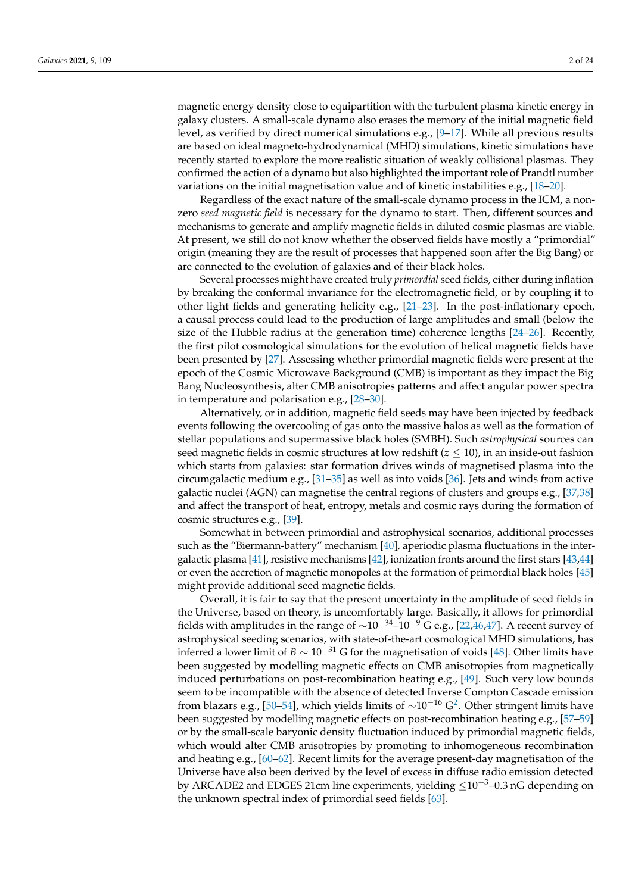magnetic energy density close to equipartition with the turbulent plasma kinetic energy in galaxy clusters. A small-scale dynamo also erases the memory of the initial magnetic field level, as verified by direct numerical simulations e.g., [\[9](#page-18-4)[–17\]](#page-18-5). While all previous results are based on ideal magneto-hydrodynamical (MHD) simulations, kinetic simulations have recently started to explore the more realistic situation of weakly collisional plasmas. They confirmed the action of a dynamo but also highlighted the important role of Prandtl number variations on the initial magnetisation value and of kinetic instabilities e.g., [\[18–](#page-18-6)[20\]](#page-18-7).

Regardless of the exact nature of the small-scale dynamo process in the ICM, a nonzero *seed magnetic field* is necessary for the dynamo to start. Then, different sources and mechanisms to generate and amplify magnetic fields in diluted cosmic plasmas are viable. At present, we still do not know whether the observed fields have mostly a "primordial" origin (meaning they are the result of processes that happened soon after the Big Bang) or are connected to the evolution of galaxies and of their black holes.

Several processes might have created truly *primordial* seed fields, either during inflation by breaking the conformal invariance for the electromagnetic field, or by coupling it to other light fields and generating helicity e.g., [\[21–](#page-18-8)[23\]](#page-18-9). In the post-inflationary epoch, a causal process could lead to the production of large amplitudes and small (below the size of the Hubble radius at the generation time) coherence lengths [\[24](#page-18-10)[–26\]](#page-18-11). Recently, the first pilot cosmological simulations for the evolution of helical magnetic fields have been presented by [\[27\]](#page-18-12). Assessing whether primordial magnetic fields were present at the epoch of the Cosmic Microwave Background (CMB) is important as they impact the Big Bang Nucleosynthesis, alter CMB anisotropies patterns and affect angular power spectra in temperature and polarisation e.g., [\[28](#page-18-13)[–30\]](#page-18-14).

Alternatively, or in addition, magnetic field seeds may have been injected by feedback events following the overcooling of gas onto the massive halos as well as the formation of stellar populations and supermassive black holes (SMBH). Such *astrophysical* sources can seed magnetic fields in cosmic structures at low redshift  $(z \leq 10)$ , in an inside-out fashion which starts from galaxies: star formation drives winds of magnetised plasma into the circumgalactic medium e.g., [\[31](#page-18-15)[–35\]](#page-19-0) as well as into voids [\[36\]](#page-19-1). Jets and winds from active galactic nuclei (AGN) can magnetise the central regions of clusters and groups e.g., [\[37,](#page-19-2)[38\]](#page-19-3) and affect the transport of heat, entropy, metals and cosmic rays during the formation of cosmic structures e.g., [\[39\]](#page-19-4).

Somewhat in between primordial and astrophysical scenarios, additional processes such as the "Biermann-battery" mechanism [\[40\]](#page-19-5), aperiodic plasma fluctuations in the intergalactic plasma [\[41\]](#page-19-6), resistive mechanisms [\[42\]](#page-19-7), ionization fronts around the first stars [\[43,](#page-19-8)[44\]](#page-19-9) or even the accretion of magnetic monopoles at the formation of primordial black holes [\[45\]](#page-19-10) might provide additional seed magnetic fields.

Overall, it is fair to say that the present uncertainty in the amplitude of seed fields in the Universe, based on theory, is uncomfortably large. Basically, it allows for primordial fields with amplitudes in the range of  $\sim 10^{-34}$ – $10^{-9}$  G e.g., [\[22,](#page-18-16)[46,](#page-19-11)[47\]](#page-19-12). A recent survey of astrophysical seeding scenarios, with state-of-the-art cosmological MHD simulations, has inferred a lower limit of *B*  $\sim 10^{-31}$  G for the magnetisation of voids [\[48\]](#page-19-13). Other limits have been suggested by modelling magnetic effects on CMB anisotropies from magnetically induced perturbations on post-recombination heating e.g., [\[49\]](#page-19-14). Such very low bounds seem to be incompatible with the absence of detected Inverse Compton Cascade emission from blazars e.g., [\[50–](#page-19-15)[54\]](#page-19-16), which yields limits of  $\sim$ 10<sup>–16</sup> G<sup>[2](#page-17-1)</sup>. Other stringent limits have been suggested by modelling magnetic effects on post-recombination heating e.g., [\[57](#page-19-17)[–59\]](#page-19-18) or by the small-scale baryonic density fluctuation induced by primordial magnetic fields, which would alter CMB anisotropies by promoting to inhomogeneous recombination and heating e.g., [\[60](#page-19-19)[–62\]](#page-19-20). Recent limits for the average present-day magnetisation of the Universe have also been derived by the level of excess in diffuse radio emission detected by ARCADE2 and EDGES 21cm line experiments, yielding ≤10−3–0.3 nG depending on the unknown spectral index of primordial seed fields [\[63\]](#page-19-21).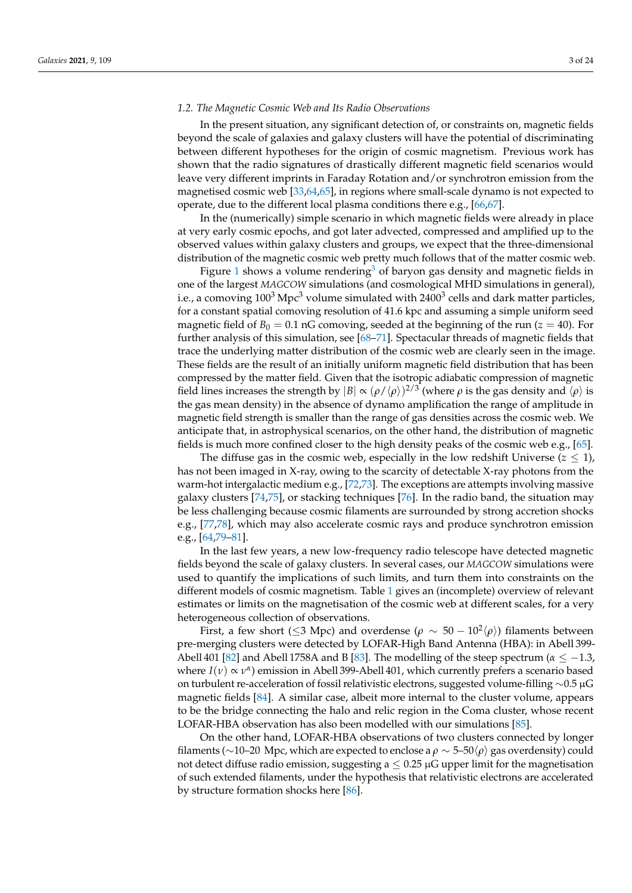#### <span id="page-2-0"></span>*1.2. The Magnetic Cosmic Web and Its Radio Observations*

In the present situation, any significant detection of, or constraints on, magnetic fields beyond the scale of galaxies and galaxy clusters will have the potential of discriminating between different hypotheses for the origin of cosmic magnetism. Previous work has shown that the radio signatures of drastically different magnetic field scenarios would leave very different imprints in Faraday Rotation and/or synchrotron emission from the magnetised cosmic web [\[33](#page-18-17)[,64](#page-19-22)[,65\]](#page-19-23), in regions where small-scale dynamo is not expected to operate, due to the different local plasma conditions there e.g., [\[66,](#page-20-0)[67\]](#page-20-1).

In the (numerically) simple scenario in which magnetic fields were already in place at very early cosmic epochs, and got later advected, compressed and amplified up to the observed values within galaxy clusters and groups, we expect that the three-dimensional distribution of the magnetic cosmic web pretty much follows that of the matter cosmic web.

Figure [1](#page-3-0) shows a volume rendering<sup>[3](#page-17-2)</sup> of baryon gas density and magnetic fields in one of the largest *MAGCOW* simulations (and cosmological MHD simulations in general), i.e., a comoving 100 $^3$  Mpc $^3$  volume simulated with 2400 $^3$  cells and dark matter particles, for a constant spatial comoving resolution of 41.6 kpc and assuming a simple uniform seed magnetic field of  $B_0 = 0.1$  nG comoving, seeded at the beginning of the run ( $z = 40$ ). For further analysis of this simulation, see [\[68–](#page-20-2)[71\]](#page-20-3). Spectacular threads of magnetic fields that trace the underlying matter distribution of the cosmic web are clearly seen in the image. These fields are the result of an initially uniform magnetic field distribution that has been compressed by the matter field. Given that the isotropic adiabatic compression of magnetic field lines increases the strength by  $|B| \propto (\rho/\langle \rho \rangle)^{2/3}$  (where  $\rho$  is the gas density and  $\langle \rho \rangle$  is the gas mean density) in the absence of dynamo amplification the range of amplitude in magnetic field strength is smaller than the range of gas densities across the cosmic web. We anticipate that, in astrophysical scenarios, on the other hand, the distribution of magnetic fields is much more confined closer to the high density peaks of the cosmic web e.g., [\[65\]](#page-19-23).

The diffuse gas in the cosmic web, especially in the low redshift Universe  $(z \leq 1)$ , has not been imaged in X-ray, owing to the scarcity of detectable X-ray photons from the warm-hot intergalactic medium e.g., [\[72,](#page-20-4)[73\]](#page-20-5). The exceptions are attempts involving massive galaxy clusters [\[74,](#page-20-6)[75\]](#page-20-7), or stacking techniques [\[76\]](#page-20-8). In the radio band, the situation may be less challenging because cosmic filaments are surrounded by strong accretion shocks e.g., [\[77](#page-20-9)[,78\]](#page-20-10), which may also accelerate cosmic rays and produce synchrotron emission e.g., [\[64](#page-19-22)[,79](#page-20-11)[–81\]](#page-20-12).

In the last few years, a new low-frequency radio telescope have detected magnetic fields beyond the scale of galaxy clusters. In several cases, our *MAGCOW* simulations were used to quantify the implications of such limits, and turn them into constraints on the different models of cosmic magnetism. Table [1](#page-4-0) gives an (incomplete) overview of relevant estimates or limits on the magnetisation of the cosmic web at different scales, for a very heterogeneous collection of observations.

First, a few short (≤3 Mpc) and overdense ( $\rho ~\sim ~ 50-10^2 \langle \rho \rangle$ ) filaments between pre-merging clusters were detected by LOFAR-High Band Antenna (HBA): in Abell 399- Abell 401 [\[82\]](#page-20-13) and Abell 1758A and B [\[83\]](#page-20-14). The modelling of the steep spectrum ( $\alpha \leq -1.3$ , *where I*(*v*) ∝ *v*<sup>*α*</sup>) emission in Abell 399-Abell 401, which currently prefers a scenario based on turbulent re-acceleration of fossil relativistic electrons, suggested volume-filling ∼0.5 µG magnetic fields [\[84\]](#page-20-15). A similar case, albeit more internal to the cluster volume, appears to be the bridge connecting the halo and relic region in the Coma cluster, whose recent LOFAR-HBA observation has also been modelled with our simulations [\[85\]](#page-20-16).

On the other hand, LOFAR-HBA observations of two clusters connected by longer filaments (∼10–20 Mpc, which are expected to enclose a  $ρ \sim 5-50$  ( $ρ$ ) gas overdensity) could not detect diffuse radio emission, suggesting  $a \le 0.25 \mu G$  upper limit for the magnetisation of such extended filaments, under the hypothesis that relativistic electrons are accelerated by structure formation shocks here [\[86\]](#page-20-17).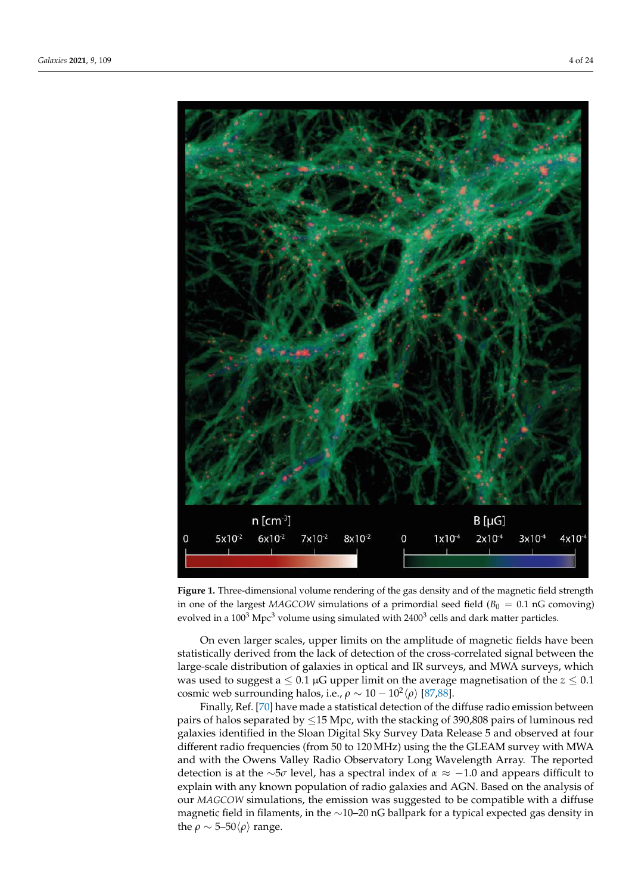<span id="page-3-0"></span>

**Figure 1.** Three-dimensional volume rendering of the gas density and of the magnetic field strength in one of the largest *MAGCOW* simulations of a primordial seed field ( $B_0 = 0.1$  nG comoving) evolved in a 100<sup>3</sup> Mpc<sup>3</sup> volume using simulated with 2400<sup>3</sup> cells and dark matter particles.

On even larger scales, upper limits on the amplitude of magnetic fields have been statistically derived from the lack of detection of the cross-correlated signal between the large-scale distribution of galaxies in optical and IR surveys, and MWA surveys, which was used to suggest a  $\leq 0.1 \mu$ G upper limit on the average magnetisation of the  $z \leq 0.1$ cosmic web surrounding halos, i.e.,  $\rho \sim 10-10^2 \langle \rho \rangle$  [\[87,](#page-20-18)[88\]](#page-20-19).

Finally, Ref. [\[70\]](#page-20-20) have made a statistical detection of the diffuse radio emission between pairs of halos separated by ≤15 Mpc, with the stacking of 390,808 pairs of luminous red galaxies identified in the Sloan Digital Sky Survey Data Release 5 and observed at four different radio frequencies (from 50 to 120 MHz) using the the GLEAM survey with MWA and with the Owens Valley Radio Observatory Long Wavelength Array. The reported detection is at the ∼5*σ* level, has a spectral index of *α* ≈ −1.0 and appears difficult to explain with any known population of radio galaxies and AGN. Based on the analysis of our *MAGCOW* simulations, the emission was suggested to be compatible with a diffuse magnetic field in filaments, in the ∼10–20 nG ballpark for a typical expected gas density in the  $\rho \sim 5{\text -}50\langle \rho \rangle$  range.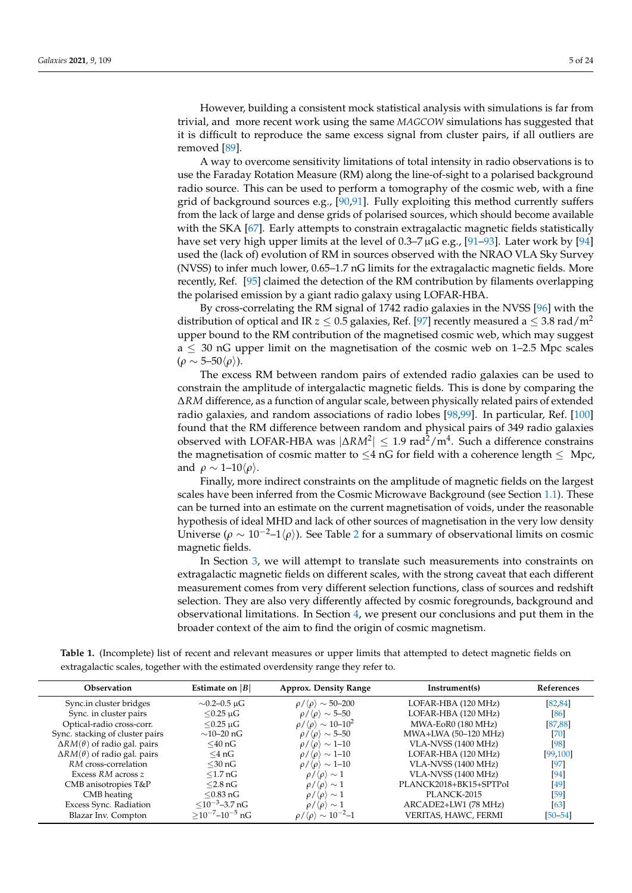However, building a consistent mock statistical analysis with simulations is far from trivial, and more recent work using the same *MAGCOW* simulations has suggested that it is difficult to reproduce the same excess signal from cluster pairs, if all outliers are removed [\[89\]](#page-20-21).

A way to overcome sensitivity limitations of total intensity in radio observations is to use the Faraday Rotation Measure (RM) along the line-of-sight to a polarised background radio source. This can be used to perform a tomography of the cosmic web, with a fine grid of background sources e.g., [\[90](#page-20-22)[,91\]](#page-20-23). Fully exploiting this method currently suffers from the lack of large and dense grids of polarised sources, which should become available with the SKA [\[67\]](#page-20-1). Early attempts to constrain extragalactic magnetic fields statistically have set very high upper limits at the level of  $0.3-7 \mu$ G e.g., [\[91–](#page-20-23)[93\]](#page-21-0). Later work by [\[94\]](#page-21-1) used the (lack of) evolution of RM in sources observed with the NRAO VLA Sky Survey (NVSS) to infer much lower, 0.65–1.7 nG limits for the extragalactic magnetic fields. More recently, Ref. [\[95\]](#page-21-2) claimed the detection of the RM contribution by filaments overlapping the polarised emission by a giant radio galaxy using LOFAR-HBA.

By cross-correlating the RM signal of 1742 radio galaxies in the NVSS [\[96\]](#page-21-3) with the distribution of optical and IR  $z \leq 0.5$  galaxies, Ref. [\[97\]](#page-21-4) recently measured a  $\leq 3.8$  rad/m<sup>2</sup> upper bound to the RM contribution of the magnetised cosmic web, which may suggest  $a \leq 30$  nG upper limit on the magnetisation of the cosmic web on 1–2.5 Mpc scales  $(\rho \sim 5-50\rho)$ ).

The excess RM between random pairs of extended radio galaxies can be used to constrain the amplitude of intergalactic magnetic fields. This is done by comparing the ∆*RM* difference, as a function of angular scale, between physically related pairs of extended radio galaxies, and random associations of radio lobes [\[98](#page-21-5)[,99\]](#page-21-6). In particular, Ref. [\[100\]](#page-21-7) found that the RM difference between random and physical pairs of 349 radio galaxies observed with LOFAR-HBA was  $|\Delta RM^2|$  ≤ 1.9 rad<sup>2</sup>/m<sup>4</sup>. Such a difference constrains the magnetisation of cosmic matter to  $\leq 4$  nG for field with a coherence length  $\leq Mpc$ , and  $\rho \sim 1-10\langle \rho \rangle$ .

Finally, more indirect constraints on the amplitude of magnetic fields on the largest scales have been inferred from the Cosmic Microwave Background (see Section [1.1\)](#page-0-0). These can be turned into an estimate on the current magnetisation of voids, under the reasonable hypothesis of ideal MHD and lack of other sources of magnetisation in the very low density Universe ( $\rho \sim 10^{-2} - 1\langle \rho \rangle$  $\rho \sim 10^{-2} - 1\langle \rho \rangle$  $\rho \sim 10^{-2} - 1\langle \rho \rangle$ ). See Table 2 for a summary of observational limits on cosmic magnetic fields.

In Section [3,](#page-6-0) we will attempt to translate such measurements into constraints on extragalactic magnetic fields on different scales, with the strong caveat that each different measurement comes from very different selection functions, class of sources and redshift selection. They are also very differently affected by cosmic foregrounds, background and observational limitations. In Section [4,](#page-14-0) we present our conclusions and put them in the broader context of the aim to find the origin of cosmic magnetism.

<span id="page-4-0"></span>**Table 1.** (Incomplete) list of recent and relevant measures or upper limits that attempted to detect magnetic fields on extragalactic scales, together with the estimated overdensity range they refer to.

| Observation                             | Estimate on $ B $                         | <b>Approx. Density Range</b>                     | Instrument(s)          |             |
|-----------------------------------------|-------------------------------------------|--------------------------------------------------|------------------------|-------------|
| Sync.in cluster bridges                 | $\sim$ 0.2–0.5 µG                         | $\rho/\langle \rho \rangle \sim 50-200$          | LOFAR-HBA (120 MHz)    | [82, 84]    |
| Sync. in cluster pairs                  | $<$ 0.25 $\mu$ G                          | $\rho/\langle \rho \rangle \sim 5\text{-}50$     | LOFAR-HBA (120 MHz)    | [86]        |
| Optical-radio cross-corr.               | $<$ 0.25 $\mu$ G                          | $\rho/\langle \rho \rangle \sim 10\text{--}10^2$ | MWA-EoR0 (180 MHz)     | [87, 88]    |
| Sync. stacking of cluster pairs         | $\sim$ 10–20 nG                           | $\rho/\langle \rho \rangle \sim 5\text{-}50$     | MWA+LWA (50-120 MHz)   | [70]        |
| $\Delta RM(\theta)$ of radio gal. pairs | $<$ 40 nG                                 | $\rho/\langle \rho \rangle \sim 1\text{-}10$     | VLA-NVSS (1400 MHz)    | [98]        |
| $\Delta RM(\theta)$ of radio gal. pairs | $<$ 4 nG                                  | $\rho/\langle \rho \rangle \sim 1\text{-}10$     | LOFAR-HBA (120 MHz)    | [99, 100]   |
| RM cross-correlation                    | $<$ 30 nG                                 | $\rho/\langle \rho \rangle \sim 1\text{-}10$     | VLA-NVSS (1400 MHz)    | $[97]$      |
| Excess RM across z                      | $\leq 1.7$ nG                             | $\rho/\langle \rho \rangle \sim 1$               | VLA-NVSS (1400 MHz)    | [94]        |
| CMB anisotropies T&P                    | $<$ 2.8 nG                                | $\rho/\langle \rho \rangle \sim 1$               | PLANCK2018+BK15+SPTPol | [49]        |
| CMB heating                             | $<$ 0.83 nG                               | $\rho/\langle \rho \rangle \sim 1$               | PLANCK-2015            | [59]        |
| Excess Sync. Radiation                  | $\leq 10^{-3} - 3.7$ nG                   | $\rho/\langle \rho \rangle \sim 1$               | ARCADE2+LW1 (78 MHz)   | [63]        |
| Blazar Inv. Compton                     | $>$ 10 <sup>-7</sup> –10 <sup>-5</sup> nG | $\rho/\langle \rho \rangle \sim 10^{-2} - 1$     | VERITAS, HAWC, FERMI   | $[50 - 54]$ |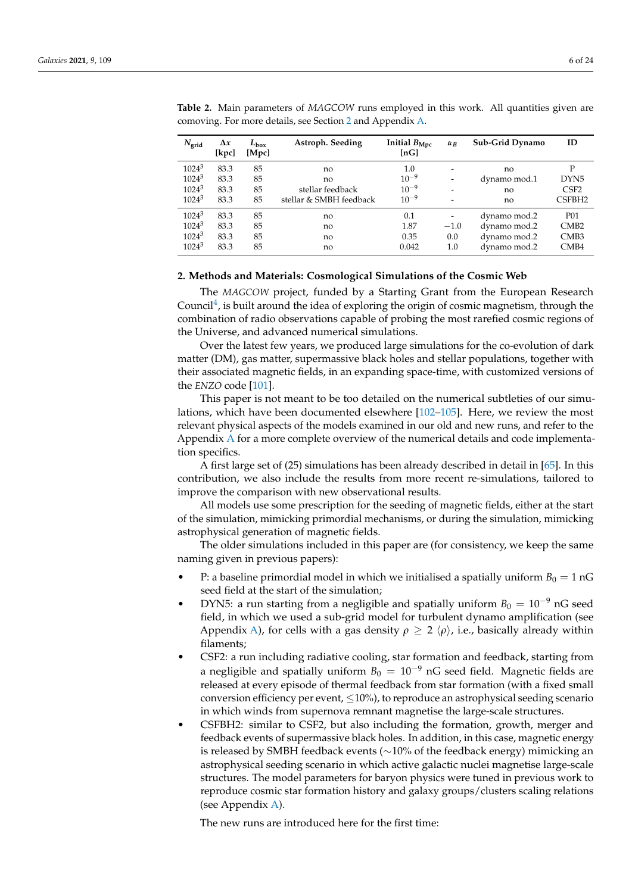| $N_{\text{grid}}$ | $\Delta x$<br>[kpc] | $L_{\rm box}$<br>[Mpc] | Astroph. Seeding        | Initial $B_{\text{Mpc}}$<br>$\lfloor nG \rfloor$ | $\alpha_B$                   | Sub-Grid Dynamo | ID                 |
|-------------------|---------------------|------------------------|-------------------------|--------------------------------------------------|------------------------------|-----------------|--------------------|
| $1024^3$          | 83.3                | 85                     | no                      | 1.0                                              | $\qquad \qquad \blacksquare$ | no              | P                  |
| $1024^3$          | 83.3                | 85                     | no                      | $10^{-9}$                                        | $\overline{\phantom{0}}$     | dynamo mod.1    | DYN <sub>5</sub>   |
| $1024^3$          | 83.3                | 85                     | stellar feedback        | $10^{-9}$                                        | -                            | no              | CSF <sub>2</sub>   |
| $1024^3$          | 83.3                | 85                     | stellar & SMBH feedback | $10^{-9}$                                        | $\overline{\phantom{0}}$     | no              | CSFBH <sub>2</sub> |
| $1024^3$          | 83.3                | 85                     | no                      | 0.1                                              |                              | dynamo mod.2    | <b>P01</b>         |
| $1024^3$          | 83.3                | 85                     | no                      | 1.87                                             | $-1.0$                       | dynamo mod.2    | CMB2               |
| $1024^3$          | 83.3                | 85                     | no                      | 0.35                                             | 0.0                          | dynamo mod.2    | CMB <sub>3</sub>   |
| $1024^3$          | 83.3                | 85                     | no                      | 0.042                                            | 1.0                          | dynamo mod.2    | CMB <sub>4</sub>   |

<span id="page-5-0"></span>**Table 2.** Main parameters of *MAGCOW* runs employed in this work. All quantities given are comoving. For more details, see Section [2](#page-5-1) and Appendix [A.](#page-16-0)

#### <span id="page-5-1"></span>**2. Methods and Materials: Cosmological Simulations of the Cosmic Web**

The *MAGCOW* project, funded by a Starting Grant from the European Research Council<sup>[4](#page-17-3)</sup>, is built around the idea of exploring the origin of cosmic magnetism, through the combination of radio observations capable of probing the most rarefied cosmic regions of the Universe, and advanced numerical simulations.

Over the latest few years, we produced large simulations for the co-evolution of dark matter (DM), gas matter, supermassive black holes and stellar populations, together with their associated magnetic fields, in an expanding space-time, with customized versions of the *ENZO* code [\[101\]](#page-21-8).

This paper is not meant to be too detailed on the numerical subtleties of our simulations, which have been documented elsewhere [\[102](#page-21-9)[–105\]](#page-21-10). Here, we review the most relevant physical aspects of the models examined in our old and new runs, and refer to the Appendix [A](#page-16-0) for a more complete overview of the numerical details and code implementation specifics.

A first large set of (25) simulations has been already described in detail in [\[65\]](#page-19-23). In this contribution, we also include the results from more recent re-simulations, tailored to improve the comparison with new observational results.

All models use some prescription for the seeding of magnetic fields, either at the start of the simulation, mimicking primordial mechanisms, or during the simulation, mimicking astrophysical generation of magnetic fields.

The older simulations included in this paper are (for consistency, we keep the same naming given in previous papers):

- P: a baseline primordial model in which we initialised a spatially uniform  $B_0 = 1$  nG seed field at the start of the simulation;
- DYN5: a run starting from a negligible and spatially uniform  $B_0 = 10^{-9}$  nG seed field, in which we used a sub-grid model for turbulent dynamo amplification (see Appendix [A\)](#page-16-0), for cells with a gas density  $\rho \geq 2 \langle \rho \rangle$ , i.e., basically already within filaments;
- CSF2: a run including radiative cooling, star formation and feedback, starting from a negligible and spatially uniform  $B_0 = 10^{-9}$  nG seed field. Magnetic fields are released at every episode of thermal feedback from star formation (with a fixed small conversion efficiency per event,  $\leq 10\%$ ), to reproduce an astrophysical seeding scenario in which winds from supernova remnant magnetise the large-scale structures.
- CSFBH2: similar to CSF2, but also including the formation, growth, merger and feedback events of supermassive black holes. In addition, in this case, magnetic energy is released by SMBH feedback events (∼10% of the feedback energy) mimicking an astrophysical seeding scenario in which active galactic nuclei magnetise large-scale structures. The model parameters for baryon physics were tuned in previous work to reproduce cosmic star formation history and galaxy groups/clusters scaling relations (see Appendix [A\)](#page-16-0).

The new runs are introduced here for the first time: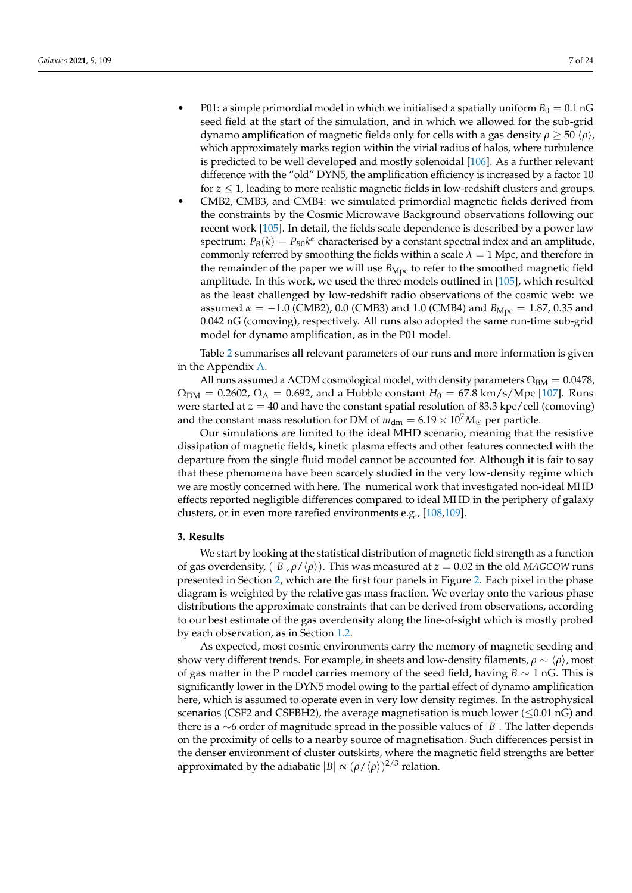- P01: a simple primordial model in which we initialised a spatially uniform  $B_0 = 0.1$  nG seed field at the start of the simulation, and in which we allowed for the sub-grid dynamo amplification of magnetic fields only for cells with a gas density *ρ*  $\geq$  50  $\langle \rho \rangle$ , which approximately marks region within the virial radius of halos, where turbulence is predicted to be well developed and mostly solenoidal [\[106\]](#page-21-11). As a further relevant difference with the "old" DYN5, the amplification efficiency is increased by a factor 10 for  $z \leq 1$ , leading to more realistic magnetic fields in low-redshift clusters and groups.
- CMB2, CMB3, and CMB4: we simulated primordial magnetic fields derived from the constraints by the Cosmic Microwave Background observations following our recent work [\[105\]](#page-21-10). In detail, the fields scale dependence is described by a power law spectrum:  $P_B(k) = P_{B0}k^{\alpha}$  characterised by a constant spectral index and an amplitude, commonly referred by smoothing the fields within a scale  $\lambda = 1$  Mpc, and therefore in the remainder of the paper we will use  $B_{\text{Mpc}}$  to refer to the smoothed magnetic field amplitude. In this work, we used the three models outlined in [\[105\]](#page-21-10), which resulted as the least challenged by low-redshift radio observations of the cosmic web: we assumed  $\alpha = -1.0$  (CMB2), 0.0 (CMB3) and 1.0 (CMB4) and  $B_{Mpc} = 1.87$ , 0.35 and 0.042 nG (comoving), respectively. All runs also adopted the same run-time sub-grid model for dynamo amplification, as in the P01 model.

Table [2](#page-5-0) summarises all relevant parameters of our runs and more information is given in the Appendix [A.](#page-16-0)

All runs assumed a ΛCDM cosmological model, with density parameters  $\Omega_{BM} = 0.0478$ ,  $\Omega_{\rm DM} = 0.2602$ ,  $\Omega_{\Lambda} = 0.692$ , and a Hubble constant  $H_0 = 67.8$  km/s/Mpc [\[107\]](#page-21-12). Runs were started at  $z = 40$  and have the constant spatial resolution of 83.3 kpc/cell (comoving) and the constant mass resolution for DM of  $m_{\text{dm}} = 6.19 \times 10^7 M_{\odot}$  per particle.

Our simulations are limited to the ideal MHD scenario, meaning that the resistive dissipation of magnetic fields, kinetic plasma effects and other features connected with the departure from the single fluid model cannot be accounted for. Although it is fair to say that these phenomena have been scarcely studied in the very low-density regime which we are mostly concerned with here. The numerical work that investigated non-ideal MHD effects reported negligible differences compared to ideal MHD in the periphery of galaxy clusters, or in even more rarefied environments e.g., [\[108,](#page-21-13)[109\]](#page-21-14).

## <span id="page-6-0"></span>**3. Results**

We start by looking at the statistical distribution of magnetic field strength as a function of gas overdensity, (|*B*|, *ρ*/h*ρ*i). This was measured at *z* = 0.02 in the old *MAGCOW* runs presented in Section [2,](#page-5-1) which are the first four panels in Figure [2.](#page-7-0) Each pixel in the phase diagram is weighted by the relative gas mass fraction. We overlay onto the various phase distributions the approximate constraints that can be derived from observations, according to our best estimate of the gas overdensity along the line-of-sight which is mostly probed by each observation, as in Section [1.2.](#page-2-0)

As expected, most cosmic environments carry the memory of magnetic seeding and show very different trends. For example, in sheets and low-density filaments,  $\rho \sim \langle \rho \rangle$ , most of gas matter in the P model carries memory of the seed field, having *B* ∼ 1 nG. This is significantly lower in the DYN5 model owing to the partial effect of dynamo amplification here, which is assumed to operate even in very low density regimes. In the astrophysical scenarios (CSF2 and CSFBH2), the average magnetisation is much lower ( $\leq 0.01$  nG) and there is a ∼6 order of magnitude spread in the possible values of |*B*|. The latter depends on the proximity of cells to a nearby source of magnetisation. Such differences persist in the denser environment of cluster outskirts, where the magnetic field strengths are better approximated by the adiabatic  $|B| \propto (\rho / \langle \rho \rangle)^{2/3}$  relation.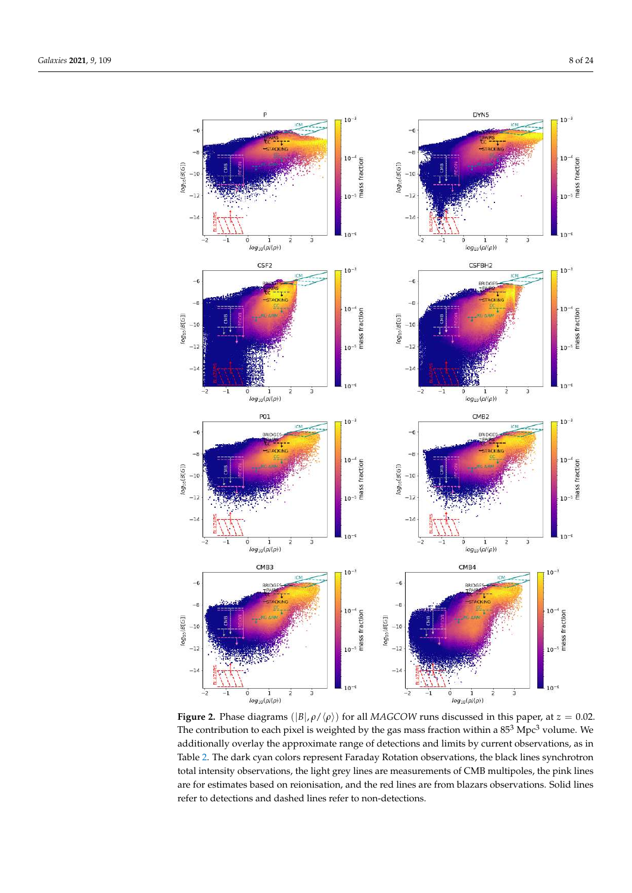<span id="page-7-0"></span>

**Figure 2.** Phase diagrams  $(|B|, \rho / \langle \rho \rangle)$  for all *MAGCOW* runs discussed in this paper, at  $z = 0.02$ . The contribution to each pixel is weighted by the gas mass fraction within a  $85<sup>3</sup>$  Mpc<sup>3</sup> volume. We additionally overlay the approximate range of detections and limits by current observations, as in Table [2.](#page-5-0) The dark cyan colors represent Faraday Rotation observations, the black lines synchrotron total intensity observations, the light grey lines are measurements of CMB multipoles, the pink lines are for estimates based on reionisation, and the red lines are from blazars observations. Solid lines refer to detections and dashed lines refer to non-detections.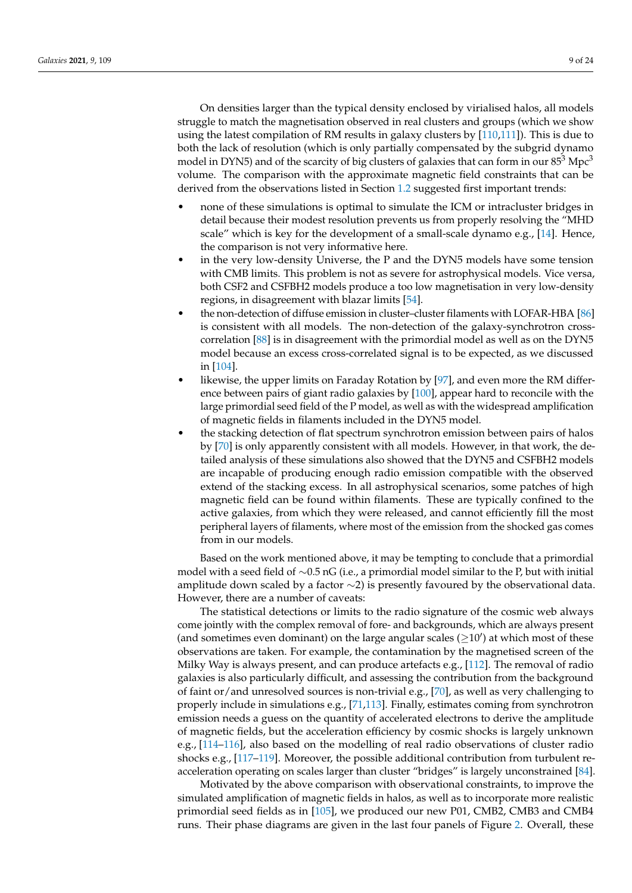On densities larger than the typical density enclosed by virialised halos, all models struggle to match the magnetisation observed in real clusters and groups (which we show using the latest compilation of RM results in galaxy clusters by [\[110,](#page-21-15)[111\]](#page-21-16)). This is due to both the lack of resolution (which is only partially compensated by the subgrid dynamo model in DYN5) and of the scarcity of big clusters of galaxies that can form in our  $85<sup>3</sup>$  Mpc<sup>3</sup> volume. The comparison with the approximate magnetic field constraints that can be derived from the observations listed in Section [1.2](#page-2-0) suggested first important trends:

- none of these simulations is optimal to simulate the ICM or intracluster bridges in detail because their modest resolution prevents us from properly resolving the "MHD scale" which is key for the development of a small-scale dynamo e.g., [\[14\]](#page-18-18). Hence, the comparison is not very informative here.
- in the very low-density Universe, the P and the DYN5 models have some tension with CMB limits. This problem is not as severe for astrophysical models. Vice versa, both CSF2 and CSFBH2 models produce a too low magnetisation in very low-density regions, in disagreement with blazar limits [\[54\]](#page-19-16).
- the non-detection of diffuse emission in cluster–cluster filaments with LOFAR-HBA [\[86\]](#page-20-17) is consistent with all models. The non-detection of the galaxy-synchrotron crosscorrelation [\[88\]](#page-20-19) is in disagreement with the primordial model as well as on the DYN5 model because an excess cross-correlated signal is to be expected, as we discussed in [\[104\]](#page-21-17).
- likewise, the upper limits on Faraday Rotation by  $[97]$ , and even more the RM difference between pairs of giant radio galaxies by [\[100\]](#page-21-7), appear hard to reconcile with the large primordial seed field of the P model, as well as with the widespread amplification of magnetic fields in filaments included in the DYN5 model.
- the stacking detection of flat spectrum synchrotron emission between pairs of halos by [\[70\]](#page-20-20) is only apparently consistent with all models. However, in that work, the detailed analysis of these simulations also showed that the DYN5 and CSFBH2 models are incapable of producing enough radio emission compatible with the observed extend of the stacking excess. In all astrophysical scenarios, some patches of high magnetic field can be found within filaments. These are typically confined to the active galaxies, from which they were released, and cannot efficiently fill the most peripheral layers of filaments, where most of the emission from the shocked gas comes from in our models.

Based on the work mentioned above, it may be tempting to conclude that a primordial model with a seed field of ∼0.5 nG (i.e., a primordial model similar to the P, but with initial amplitude down scaled by a factor ∼2) is presently favoured by the observational data. However, there are a number of caveats:

The statistical detections or limits to the radio signature of the cosmic web always come jointly with the complex removal of fore- and backgrounds, which are always present (and sometimes even dominant) on the large angular scales  $(\geq 10')$  at which most of these observations are taken. For example, the contamination by the magnetised screen of the Milky Way is always present, and can produce artefacts e.g.,  $[112]$ . The removal of radio galaxies is also particularly difficult, and assessing the contribution from the background of faint or/and unresolved sources is non-trivial e.g., [\[70\]](#page-20-20), as well as very challenging to properly include in simulations e.g., [\[71,](#page-20-3)[113\]](#page-21-19). Finally, estimates coming from synchrotron emission needs a guess on the quantity of accelerated electrons to derive the amplitude of magnetic fields, but the acceleration efficiency by cosmic shocks is largely unknown e.g., [\[114–](#page-21-20)[116\]](#page-21-21), also based on the modelling of real radio observations of cluster radio shocks e.g., [\[117–](#page-21-22)[119\]](#page-21-23). Moreover, the possible additional contribution from turbulent reacceleration operating on scales larger than cluster "bridges" is largely unconstrained [\[84\]](#page-20-15).

Motivated by the above comparison with observational constraints, to improve the simulated amplification of magnetic fields in halos, as well as to incorporate more realistic primordial seed fields as in [\[105\]](#page-21-10), we produced our new P01, CMB2, CMB3 and CMB4 runs. Their phase diagrams are given in the last four panels of Figure [2.](#page-7-0) Overall, these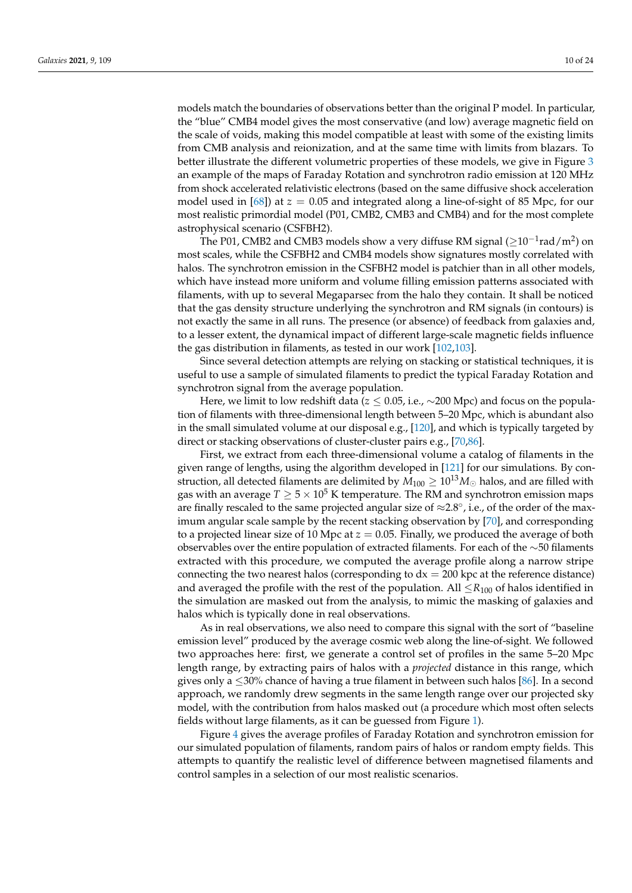models match the boundaries of observations better than the original P model. In particular, the "blue" CMB4 model gives the most conservative (and low) average magnetic field on the scale of voids, making this model compatible at least with some of the existing limits from CMB analysis and reionization, and at the same time with limits from blazars. To better illustrate the different volumetric properties of these models, we give in Figure [3](#page-10-0) an example of the maps of Faraday Rotation and synchrotron radio emission at 120 MHz from shock accelerated relativistic electrons (based on the same diffusive shock acceleration model used in [\[68\]](#page-20-2)) at *z* = 0.05 and integrated along a line-of-sight of 85 Mpc, for our most realistic primordial model (P01, CMB2, CMB3 and CMB4) and for the most complete astrophysical scenario (CSFBH2).

The P01, CMB2 and CMB3 models show a very diffuse RM signal ( $\geq$ 10<sup>-1</sup>rad/m<sup>2</sup>) on most scales, while the CSFBH2 and CMB4 models show signatures mostly correlated with halos. The synchrotron emission in the CSFBH2 model is patchier than in all other models, which have instead more uniform and volume filling emission patterns associated with filaments, with up to several Megaparsec from the halo they contain. It shall be noticed that the gas density structure underlying the synchrotron and RM signals (in contours) is not exactly the same in all runs. The presence (or absence) of feedback from galaxies and, to a lesser extent, the dynamical impact of different large-scale magnetic fields influence the gas distribution in filaments, as tested in our work [\[102](#page-21-9)[,103\]](#page-21-24).

Since several detection attempts are relying on stacking or statistical techniques, it is useful to use a sample of simulated filaments to predict the typical Faraday Rotation and synchrotron signal from the average population.

Here, we limit to low redshift data (*z* ≤ 0.05, i.e., ~200 Mpc) and focus on the population of filaments with three-dimensional length between 5–20 Mpc, which is abundant also in the small simulated volume at our disposal e.g., [\[120\]](#page-21-25), and which is typically targeted by direct or stacking observations of cluster-cluster pairs e.g., [\[70,](#page-20-20)[86\]](#page-20-17).

First, we extract from each three-dimensional volume a catalog of filaments in the given range of lengths, using the algorithm developed in [\[121\]](#page-22-0) for our simulations. By construction, all detected filaments are delimited by  $\overline{M}_{100} \geq 10^{13} M_{\odot}$  halos, and are filled with gas with an average  $T \geq 5 \times 10^5$  K temperature. The RM and synchrotron emission maps are finally rescaled to the same projected angular size of ≈2.8°, i.e., of the order of the maximum angular scale sample by the recent stacking observation by [\[70\]](#page-20-20), and corresponding to a projected linear size of 10 Mpc at  $z = 0.05$ . Finally, we produced the average of both observables over the entire population of extracted filaments. For each of the ∼50 filaments extracted with this procedure, we computed the average profile along a narrow stripe connecting the two nearest halos (corresponding to  $dx = 200$  kpc at the reference distance) and averaged the profile with the rest of the population. All  $\leq R_{100}$  of halos identified in the simulation are masked out from the analysis, to mimic the masking of galaxies and halos which is typically done in real observations.

As in real observations, we also need to compare this signal with the sort of "baseline emission level" produced by the average cosmic web along the line-of-sight. We followed two approaches here: first, we generate a control set of profiles in the same 5–20 Mpc length range, by extracting pairs of halos with a *projected* distance in this range, which gives only a ≤30% chance of having a true filament in between such halos [\[86\]](#page-20-17). In a second approach, we randomly drew segments in the same length range over our projected sky model, with the contribution from halos masked out (a procedure which most often selects fields without large filaments, as it can be guessed from Figure [1\)](#page-3-0).

Figure [4](#page-11-0) gives the average profiles of Faraday Rotation and synchrotron emission for our simulated population of filaments, random pairs of halos or random empty fields. This attempts to quantify the realistic level of difference between magnetised filaments and control samples in a selection of our most realistic scenarios.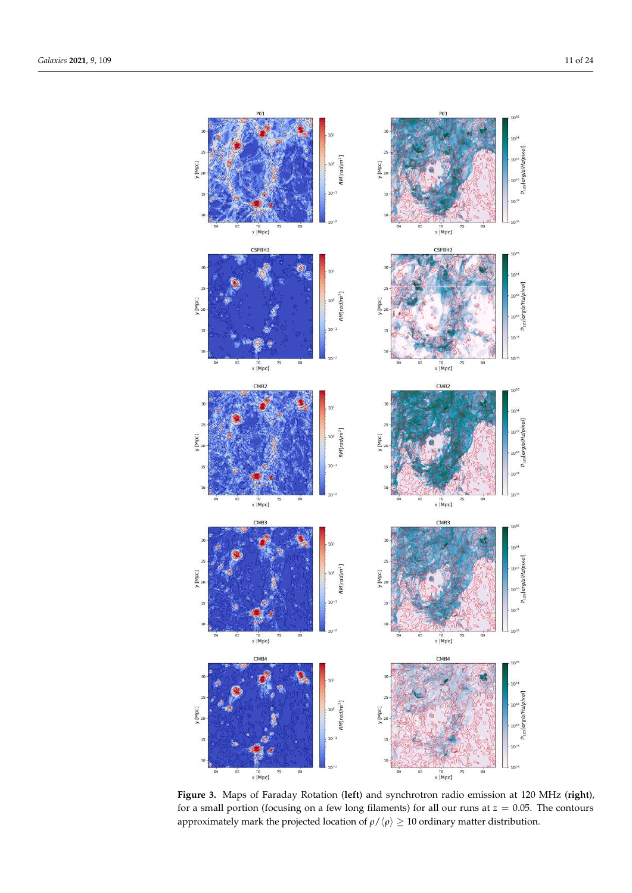<span id="page-10-0"></span>

**Figure 3.** Maps of Faraday Rotation (**left**) and synchrotron radio emission at 120 MHz (**right**), for a small portion (focusing on a few long filaments) for all our runs at *z* = 0.05. The contours approximately mark the projected location of  $\rho/\langle\rho\rangle\geq 10$  ordinary matter distribution.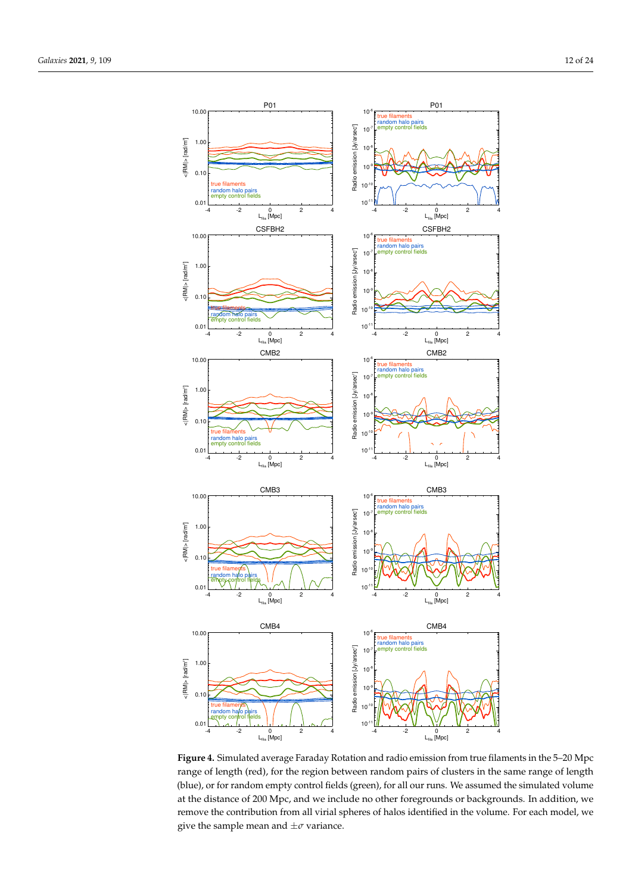<span id="page-11-0"></span>

**Figure 4.** Simulated average Faraday Rotation and radio emission from true filaments in the 5–20 Mpc range of length (red), for the region between random pairs of clusters in the same range of length (blue), or for random empty control fields (green), for all our runs. We assumed the simulated volume at the distance of 200 Mpc, and we include no other foregrounds or backgrounds. In addition, we remove the contribution from all virial spheres of halos identified in the volume. For each model, we give the sample mean and  $\pm \sigma$  variance.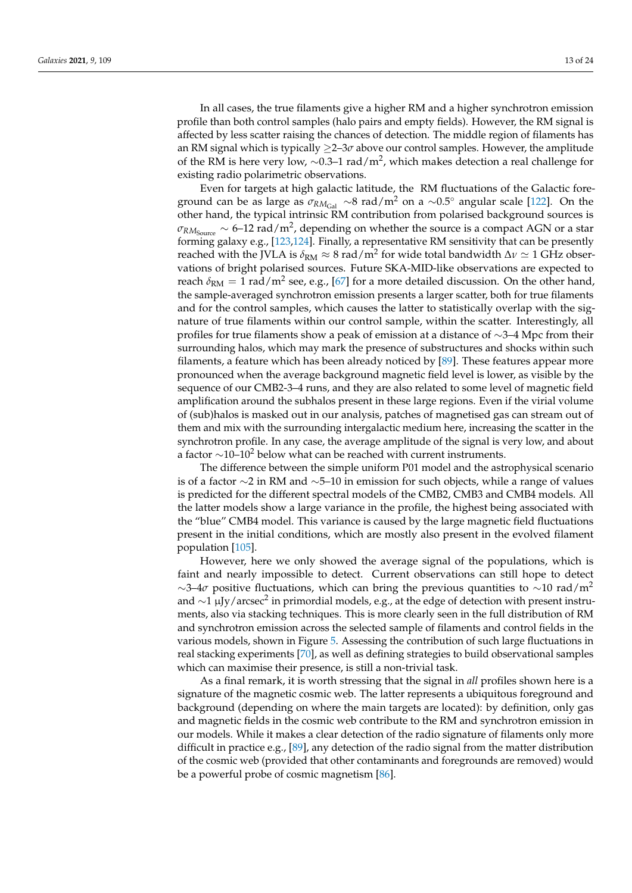In all cases, the true filaments give a higher RM and a higher synchrotron emission profile than both control samples (halo pairs and empty fields). However, the RM signal is affected by less scatter raising the chances of detection. The middle region of filaments has an RM signal which is typically ≥2–3*σ* above our control samples. However, the amplitude of the RM is here very low,  $\sim$ 0.3–1 rad/m<sup>2</sup>, which makes detection a real challenge for existing radio polarimetric observations.

Even for targets at high galactic latitude, the RM fluctuations of the Galactic foreground can be as large as  $\sigma_{RM_{Gal}} \sim 8$  rad/m<sup>2</sup> on a ~0.5° angular scale [\[122\]](#page-22-1). On the other hand, the typical intrinsic RM contribution from polarised background sources is  $\sigma_{\rm RM_{Source}} \sim$  6–12 rad/m<sup>2</sup>, depending on whether the source is a compact AGN or a star forming galaxy e.g., [\[123](#page-22-2)[,124\]](#page-22-3). Finally, a representative RM sensitivity that can be presently reached with the JVLA is  $\delta_{\rm RM}\approx 8$  rad/m<sup>2</sup> for wide total bandwidth  $\Delta\nu\simeq 1$  GHz observations of bright polarised sources. Future SKA-MID-like observations are expected to reach  $\delta_{\rm RM}=1$  rad/m<sup>2</sup> see, e.g., [\[67\]](#page-20-1) for a more detailed discussion. On the other hand, the sample-averaged synchrotron emission presents a larger scatter, both for true filaments and for the control samples, which causes the latter to statistically overlap with the signature of true filaments within our control sample, within the scatter. Interestingly, all profiles for true filaments show a peak of emission at a distance of ∼3–4 Mpc from their surrounding halos, which may mark the presence of substructures and shocks within such filaments, a feature which has been already noticed by [\[89\]](#page-20-21). These features appear more pronounced when the average background magnetic field level is lower, as visible by the sequence of our CMB2-3–4 runs, and they are also related to some level of magnetic field amplification around the subhalos present in these large regions. Even if the virial volume of (sub)halos is masked out in our analysis, patches of magnetised gas can stream out of them and mix with the surrounding intergalactic medium here, increasing the scatter in the synchrotron profile. In any case, the average amplitude of the signal is very low, and about a factor  $\sim$ 10–10<sup>2</sup> below what can be reached with current instruments.

The difference between the simple uniform P01 model and the astrophysical scenario is of a factor ∼2 in RM and ∼5–10 in emission for such objects, while a range of values is predicted for the different spectral models of the CMB2, CMB3 and CMB4 models. All the latter models show a large variance in the profile, the highest being associated with the "blue" CMB4 model. This variance is caused by the large magnetic field fluctuations present in the initial conditions, which are mostly also present in the evolved filament population [\[105\]](#page-21-10).

However, here we only showed the average signal of the populations, which is faint and nearly impossible to detect. Current observations can still hope to detect  $\sim$ 3–4 $\sigma$  positive fluctuations, which can bring the previous quantities to  $\sim$ 10 rad/m<sup>2</sup> and  $\sim$ 1 µJy/arcsec<sup>2</sup> in primordial models, e.g., at the edge of detection with present instruments, also via stacking techniques. This is more clearly seen in the full distribution of RM and synchrotron emission across the selected sample of filaments and control fields in the various models, shown in Figure [5.](#page-13-0) Assessing the contribution of such large fluctuations in real stacking experiments [\[70\]](#page-20-20), as well as defining strategies to build observational samples which can maximise their presence, is still a non-trivial task.

As a final remark, it is worth stressing that the signal in *all* profiles shown here is a signature of the magnetic cosmic web. The latter represents a ubiquitous foreground and background (depending on where the main targets are located): by definition, only gas and magnetic fields in the cosmic web contribute to the RM and synchrotron emission in our models. While it makes a clear detection of the radio signature of filaments only more difficult in practice e.g., [\[89\]](#page-20-21), any detection of the radio signal from the matter distribution of the cosmic web (provided that other contaminants and foregrounds are removed) would be a powerful probe of cosmic magnetism [\[86\]](#page-20-17).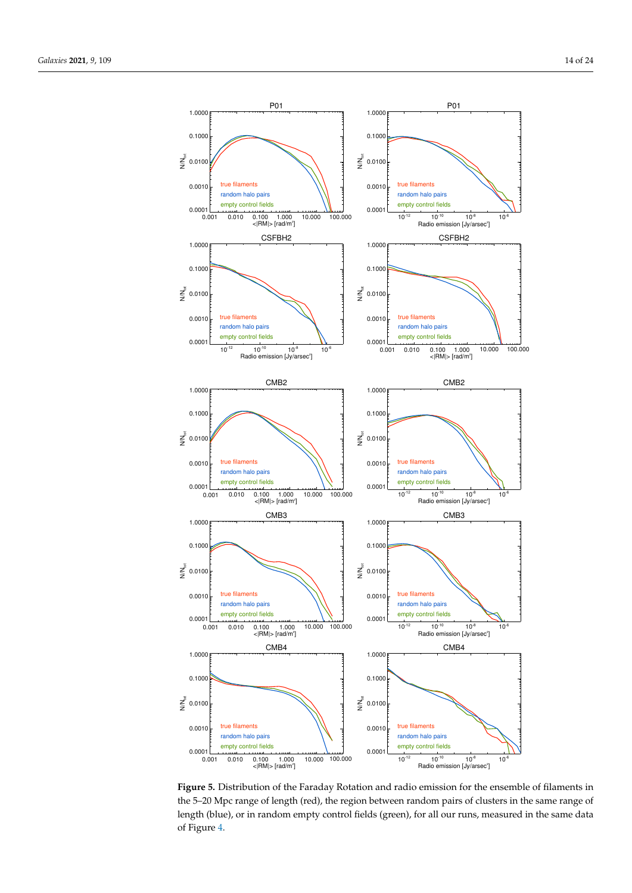<span id="page-13-0"></span>

**Figure 5.** Distribution of the Faraday Rotation and radio emission for the ensemble of filaments in the 5–20 Mpc range of length (red), the region between random pairs of clusters in the same range of length (blue), or in random empty control fields (green), for all our runs, measured in the same data of Figure [4.](#page-11-0)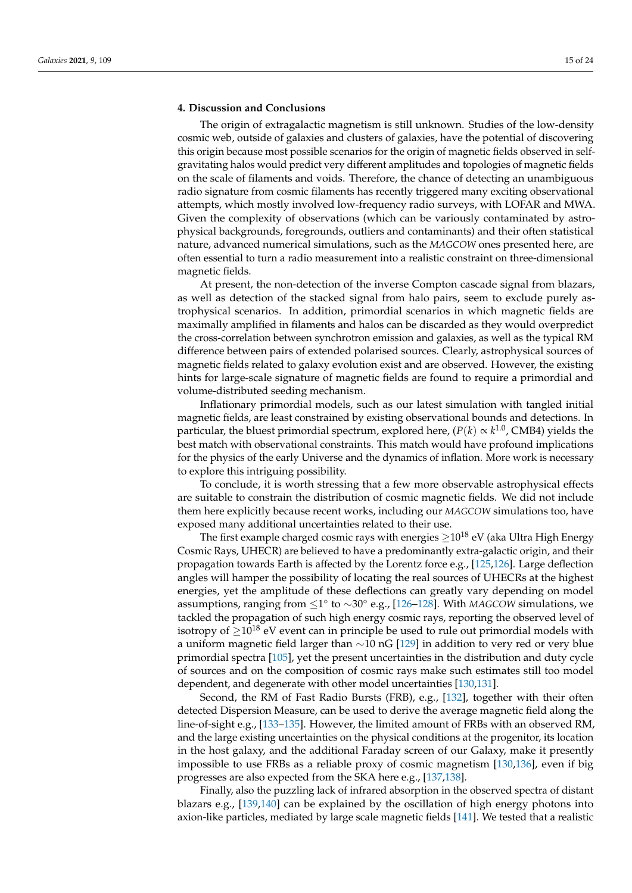#### <span id="page-14-0"></span>**4. Discussion and Conclusions**

The origin of extragalactic magnetism is still unknown. Studies of the low-density cosmic web, outside of galaxies and clusters of galaxies, have the potential of discovering this origin because most possible scenarios for the origin of magnetic fields observed in selfgravitating halos would predict very different amplitudes and topologies of magnetic fields on the scale of filaments and voids. Therefore, the chance of detecting an unambiguous radio signature from cosmic filaments has recently triggered many exciting observational attempts, which mostly involved low-frequency radio surveys, with LOFAR and MWA. Given the complexity of observations (which can be variously contaminated by astrophysical backgrounds, foregrounds, outliers and contaminants) and their often statistical nature, advanced numerical simulations, such as the *MAGCOW* ones presented here, are often essential to turn a radio measurement into a realistic constraint on three-dimensional magnetic fields.

At present, the non-detection of the inverse Compton cascade signal from blazars, as well as detection of the stacked signal from halo pairs, seem to exclude purely astrophysical scenarios. In addition, primordial scenarios in which magnetic fields are maximally amplified in filaments and halos can be discarded as they would overpredict the cross-correlation between synchrotron emission and galaxies, as well as the typical RM difference between pairs of extended polarised sources. Clearly, astrophysical sources of magnetic fields related to galaxy evolution exist and are observed. However, the existing hints for large-scale signature of magnetic fields are found to require a primordial and volume-distributed seeding mechanism.

Inflationary primordial models, such as our latest simulation with tangled initial magnetic fields, are least constrained by existing observational bounds and detections. In particular, the bluest primordial spectrum, explored here,  $(P(k) \propto k^{1.0}$ , CMB4) yields the best match with observational constraints. This match would have profound implications for the physics of the early Universe and the dynamics of inflation. More work is necessary to explore this intriguing possibility.

To conclude, it is worth stressing that a few more observable astrophysical effects are suitable to constrain the distribution of cosmic magnetic fields. We did not include them here explicitly because recent works, including our *MAGCOW* simulations too, have exposed many additional uncertainties related to their use.

The first example charged cosmic rays with energies  $\geq 10^{18}$  eV (aka Ultra High Energy Cosmic Rays, UHECR) are believed to have a predominantly extra-galactic origin, and their propagation towards Earth is affected by the Lorentz force e.g., [\[125](#page-22-4)[,126\]](#page-22-5). Large deflection angles will hamper the possibility of locating the real sources of UHECRs at the highest energies, yet the amplitude of these deflections can greatly vary depending on model assumptions, ranging from ≤1<sup>°</sup> to ~30<sup>°</sup> e.g., [\[126](#page-22-5)[–128\]](#page-22-6). With *MAGCOW* simulations, we tackled the propagation of such high energy cosmic rays, reporting the observed level of isotropy of  $\geq 10^{18}$  eV event can in principle be used to rule out primordial models with a uniform magnetic field larger than ∼10 nG [\[129\]](#page-22-7) in addition to very red or very blue primordial spectra [\[105\]](#page-21-10), yet the present uncertainties in the distribution and duty cycle of sources and on the composition of cosmic rays make such estimates still too model dependent, and degenerate with other model uncertainties [\[130](#page-22-8)[,131\]](#page-22-9).

Second, the RM of Fast Radio Bursts (FRB), e.g., [\[132\]](#page-22-10), together with their often detected Dispersion Measure, can be used to derive the average magnetic field along the line-of-sight e.g., [\[133–](#page-22-11)[135\]](#page-22-12). However, the limited amount of FRBs with an observed RM, and the large existing uncertainties on the physical conditions at the progenitor, its location in the host galaxy, and the additional Faraday screen of our Galaxy, make it presently impossible to use FRBs as a reliable proxy of cosmic magnetism [\[130](#page-22-8)[,136\]](#page-22-13), even if big progresses are also expected from the SKA here e.g., [\[137](#page-22-14)[,138\]](#page-22-15).

Finally, also the puzzling lack of infrared absorption in the observed spectra of distant blazars e.g., [\[139,](#page-22-16)[140\]](#page-22-17) can be explained by the oscillation of high energy photons into axion-like particles, mediated by large scale magnetic fields [\[141\]](#page-22-18). We tested that a realistic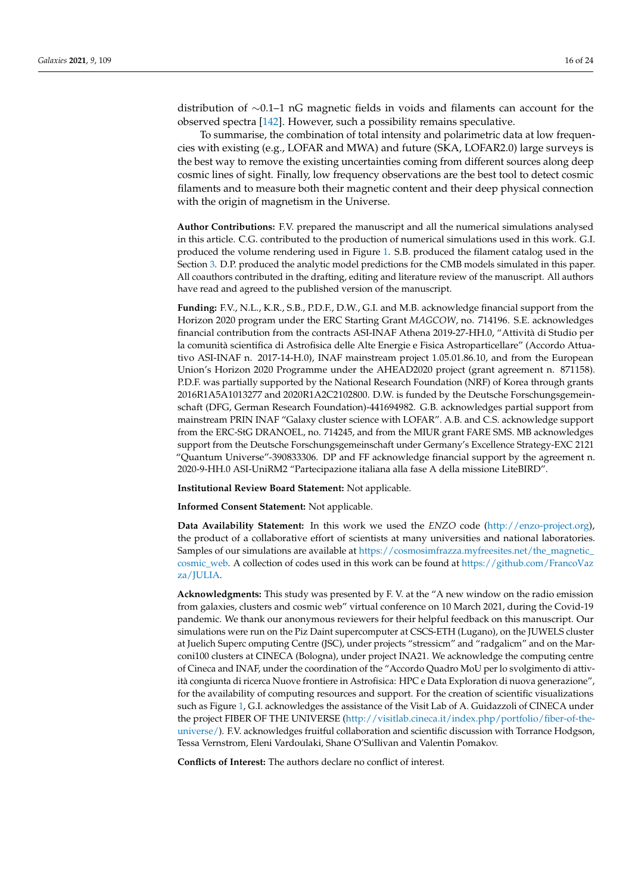distribution of ∼0.1–1 nG magnetic fields in voids and filaments can account for the observed spectra [\[142\]](#page-22-19). However, such a possibility remains speculative.

To summarise, the combination of total intensity and polarimetric data at low frequencies with existing (e.g., LOFAR and MWA) and future (SKA, LOFAR2.0) large surveys is the best way to remove the existing uncertainties coming from different sources along deep cosmic lines of sight. Finally, low frequency observations are the best tool to detect cosmic filaments and to measure both their magnetic content and their deep physical connection with the origin of magnetism in the Universe.

**Author Contributions:** F.V. prepared the manuscript and all the numerical simulations analysed in this article. C.G. contributed to the production of numerical simulations used in this work. G.I. produced the volume rendering used in Figure [1.](#page-3-0) S.B. produced the filament catalog used in the Section [3.](#page-6-0) D.P. produced the analytic model predictions for the CMB models simulated in this paper. All coauthors contributed in the drafting, editing and literature review of the manuscript. All authors have read and agreed to the published version of the manuscript.

**Funding:** F.V., N.L., K.R., S.B., P.D.F., D.W., G.I. and M.B. acknowledge financial support from the Horizon 2020 program under the ERC Starting Grant *MAGCOW*, no. 714196. S.E. acknowledges financial contribution from the contracts ASI-INAF Athena 2019-27-HH.0, "Attività di Studio per la comunità scientifica di Astrofisica delle Alte Energie e Fisica Astroparticellare" (Accordo Attuativo ASI-INAF n. 2017-14-H.0), INAF mainstream project 1.05.01.86.10, and from the European Union's Horizon 2020 Programme under the AHEAD2020 project (grant agreement n. 871158). P.D.F. was partially supported by the National Research Foundation (NRF) of Korea through grants 2016R1A5A1013277 and 2020R1A2C2102800. D.W. is funded by the Deutsche Forschungsgemeinschaft (DFG, German Research Foundation)-441694982. G.B. acknowledges partial support from mainstream PRIN INAF "Galaxy cluster science with LOFAR". A.B. and C.S. acknowledge support from the ERC-StG DRANOEL, no. 714245, and from the MIUR grant FARE SMS. MB acknowledges support from the Deutsche Forschungsgemeinschaft under Germany's Excellence Strategy-EXC 2121 "Quantum Universe"-390833306. DP and FF acknowledge financial support by the agreement n. 2020-9-HH.0 ASI-UniRM2 "Partecipazione italiana alla fase A della missione LiteBIRD".

**Institutional Review Board Statement:** Not applicable.

**Informed Consent Statement:** Not applicable.

**Data Availability Statement:** In this work we used the *ENZO* code [\(http://enzo-project.org\)](#page-0-1), the product of a collaborative effort of scientists at many universities and national laboratories. Samples of our simulations are available at [https://cosmosimfrazza.myfreesites.net/the\\_magnetic\\_](https://cosmosimfrazza.myfreesites.net/the_magnetic_cosmic_web) [cosmic\\_web.](https://cosmosimfrazza.myfreesites.net/the_magnetic_cosmic_web) A collection of codes used in this work can be found at [https://github.com/FrancoVaz](https://github.com/FrancoVazza/JULIA) [za/JULIA.](https://github.com/FrancoVazza/JULIA)

**Acknowledgments:** This study was presented by F. V. at the "A new window on the radio emission from galaxies, clusters and cosmic web" virtual conference on 10 March 2021, during the Covid-19 pandemic. We thank our anonymous reviewers for their helpful feedback on this manuscript. Our simulations were run on the Piz Daint supercomputer at CSCS-ETH (Lugano), on the JUWELS cluster at Juelich Superc omputing Centre (JSC), under projects "stressicm" and "radgalicm" and on the Marconi100 clusters at CINECA (Bologna), under project INA21. We acknowledge the computing centre of Cineca and INAF, under the coordination of the "Accordo Quadro MoU per lo svolgimento di attività congiunta di ricerca Nuove frontiere in Astrofisica: HPC e Data Exploration di nuova generazione", for the availability of computing resources and support. For the creation of scientific visualizations such as Figure [1,](#page-3-0) G.I. acknowledges the assistance of the Visit Lab of A. Guidazzoli of CINECA under the project FIBER OF THE UNIVERSE [\(http://visitlab.cineca.it/index.php/portfolio/fiber-of-the](#page-0-1)[universe/\)](#page-0-1). F.V. acknowledges fruitful collaboration and scientific discussion with Torrance Hodgson, Tessa Vernstrom, Eleni Vardoulaki, Shane O'Sullivan and Valentin Pomakov.

**Conflicts of Interest:** The authors declare no conflict of interest.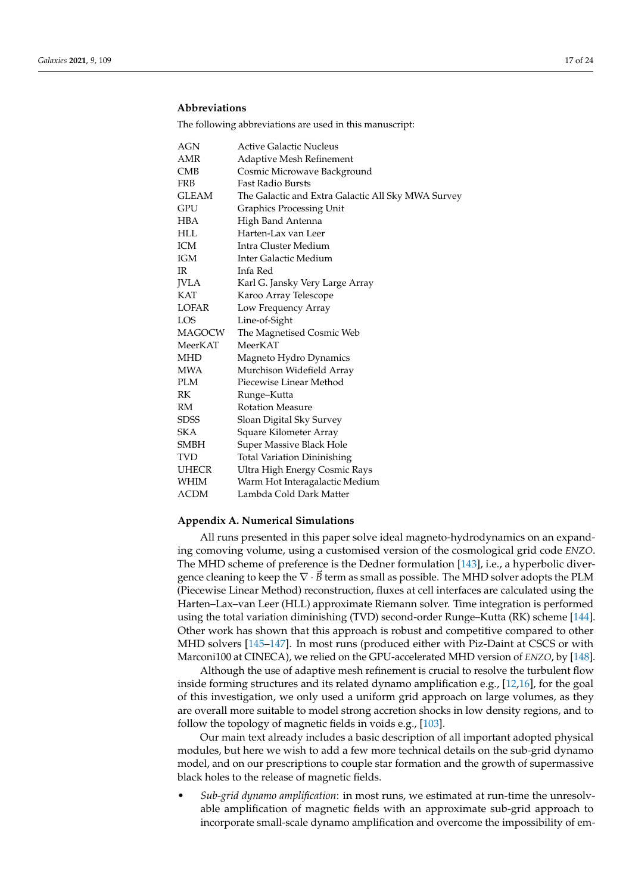## **Abbreviations**

The following abbreviations are used in this manuscript:

| AGN           | <b>Active Galactic Nucleus</b>                     |
|---------------|----------------------------------------------------|
| AMR           | Adaptive Mesh Refinement                           |
| CMB           | Cosmic Microwave Background                        |
| FRB           | <b>Fast Radio Bursts</b>                           |
| <b>GLEAM</b>  | The Galactic and Extra Galactic All Sky MWA Survey |
| GPU           | <b>Graphics Processing Unit</b>                    |
| <b>HBA</b>    | High Band Antenna                                  |
| <b>HLL</b>    | Harten-Lax van Leer                                |
| <b>ICM</b>    | Intra Cluster Medium                               |
| IGM           | Inter Galactic Medium                              |
| IR.           | Infa Red                                           |
| <b>IVLA</b>   | Karl G. Jansky Very Large Array                    |
| KAT           | Karoo Array Telescope                              |
| LOFAR         | Low Frequency Array                                |
| LOS           | Line-of-Sight                                      |
| <b>MAGOCW</b> | The Magnetised Cosmic Web                          |
| MeerKAT       | MeerKAT                                            |
| <b>MHD</b>    | Magneto Hydro Dynamics                             |
| <b>MWA</b>    | Murchison Widefield Array                          |
| <b>PLM</b>    | Piecewise Linear Method                            |
| RK            | Runge–Kutta                                        |
| RM            | <b>Rotation Measure</b>                            |
| <b>SDSS</b>   | Sloan Digital Sky Survey                           |
| SKA           | Square Kilometer Array                             |
| <b>SMBH</b>   | Super Massive Black Hole                           |
| <b>TVD</b>    | <b>Total Variation Dininishing</b>                 |
| <b>UHECR</b>  | Ultra High Energy Cosmic Rays                      |
| WHIM          | Warm Hot Interagalactic Medium                     |
| $\Lambda$ CDM | Lambda Cold Dark Matter                            |

#### <span id="page-16-0"></span>**Appendix A. Numerical Simulations**

All runs presented in this paper solve ideal magneto-hydrodynamics on an expanding comoving volume, using a customised version of the cosmological grid code *ENZO*. The MHD scheme of preference is the Dedner formulation [\[143\]](#page-22-20), i.e., a hyperbolic divergence cleaning to keep the  $\nabla \cdot \vec{B}$  term as small as possible. The MHD solver adopts the PLM (Piecewise Linear Method) reconstruction, fluxes at cell interfaces are calculated using the Harten–Lax–van Leer (HLL) approximate Riemann solver. Time integration is performed using the total variation diminishing (TVD) second-order Runge–Kutta (RK) scheme [\[144\]](#page-22-21). Other work has shown that this approach is robust and competitive compared to other MHD solvers [\[145–](#page-22-22)[147\]](#page-22-23). In most runs (produced either with Piz-Daint at CSCS or with Marconi100 at CINECA), we relied on the GPU-accelerated MHD version of *ENZO*, by [\[148\]](#page-22-24).

Although the use of adaptive mesh refinement is crucial to resolve the turbulent flow inside forming structures and its related dynamo amplification e.g., [\[12,](#page-18-19)[16\]](#page-18-20), for the goal of this investigation, we only used a uniform grid approach on large volumes, as they are overall more suitable to model strong accretion shocks in low density regions, and to follow the topology of magnetic fields in voids e.g., [\[103\]](#page-21-24).

Our main text already includes a basic description of all important adopted physical modules, but here we wish to add a few more technical details on the sub-grid dynamo model, and on our prescriptions to couple star formation and the growth of supermassive black holes to the release of magnetic fields.

• *Sub-grid dynamo amplification*: in most runs, we estimated at run-time the unresolvable amplification of magnetic fields with an approximate sub-grid approach to incorporate small-scale dynamo amplification and overcome the impossibility of em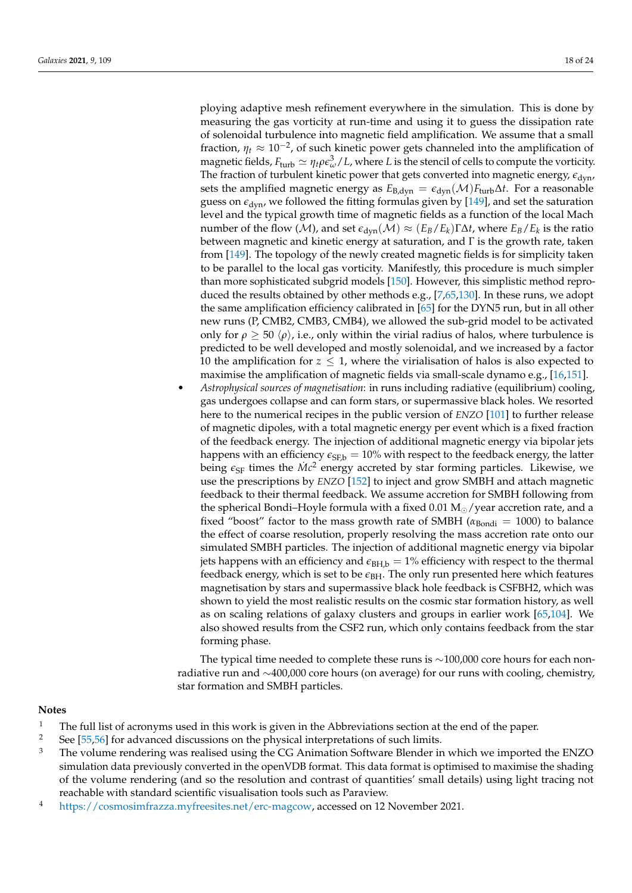ploying adaptive mesh refinement everywhere in the simulation. This is done by measuring the gas vorticity at run-time and using it to guess the dissipation rate of solenoidal turbulence into magnetic field amplification. We assume that a small fraction,  $\eta_t \approx 10^{-2}$ , of such kinetic power gets channeled into the amplification of magnetic fields,  $F_{\text{turb}} \simeq \eta_t \rho \epsilon_\omega^3/L$ , where *L* is the stencil of cells to compute the vorticity. The fraction of turbulent kinetic power that gets converted into magnetic energy,  $\epsilon_{\text{dyn}}$ , sets the amplified magnetic energy as  $E_{B, dyn} = \epsilon_{dyn}(\mathcal{M})F_{turb}\Delta t$ . For a reasonable guess on  $\epsilon_{dyn}$ , we followed the fitting formulas given by [\[149\]](#page-22-25), and set the saturation level and the typical growth time of magnetic fields as a function of the local Mach number of the flow (M), and set  $\epsilon_{\rm dyn}(\mathcal{M}) \approx (E_B/E_k)\Gamma\Delta t$ , where  $E_B/E_k$  is the ratio between magnetic and kinetic energy at saturation, and Γ is the growth rate, taken from [\[149\]](#page-22-25). The topology of the newly created magnetic fields is for simplicity taken to be parallel to the local gas vorticity. Manifestly, this procedure is much simpler than more sophisticated subgrid models [\[150\]](#page-23-0). However, this simplistic method reproduced the results obtained by other methods e.g., [\[7,](#page-18-21)[65,](#page-19-23)[130\]](#page-22-8). In these runs, we adopt the same amplification efficiency calibrated in [\[65\]](#page-19-23) for the DYN5 run, but in all other new runs (P, CMB2, CMB3, CMB4), we allowed the sub-grid model to be activated only for  $\rho \geq 50 \langle \rho \rangle$ , i.e., only within the virial radius of halos, where turbulence is predicted to be well developed and mostly solenoidal, and we increased by a factor 10 the amplification for  $z \leq 1$ , where the virialisation of halos is also expected to maximise the amplification of magnetic fields via small-scale dynamo e.g., [\[16](#page-18-20)[,151\]](#page-23-1).

• *Astrophysical sources of magnetisation*: in runs including radiative (equilibrium) cooling, gas undergoes collapse and can form stars, or supermassive black holes. We resorted here to the numerical recipes in the public version of *ENZO* [\[101\]](#page-21-8) to further release of magnetic dipoles, with a total magnetic energy per event which is a fixed fraction of the feedback energy. The injection of additional magnetic energy via bipolar jets happens with an efficiency  $\epsilon_{\text{SFD}} = 10\%$  with respect to the feedback energy, the latter being  $\epsilon_{\rm SF}$  times the  $\dot{M}c^2$  energy accreted by star forming particles. Likewise, we use the prescriptions by *ENZO* [\[152\]](#page-23-2) to inject and grow SMBH and attach magnetic feedback to their thermal feedback. We assume accretion for SMBH following from the spherical Bondi–Hoyle formula with a fixed  $0.01 M_{\odot}/year$  accretion rate, and a fixed "boost" factor to the mass growth rate of SMBH ( $\alpha_{Bondi}$  = 1000) to balance the effect of coarse resolution, properly resolving the mass accretion rate onto our simulated SMBH particles. The injection of additional magnetic energy via bipolar jets happens with an efficiency and  $\epsilon_{\text{BHLb}} = 1\%$  efficiency with respect to the thermal feedback energy, which is set to be  $\epsilon_{\rm BH}$ . The only run presented here which features magnetisation by stars and supermassive black hole feedback is CSFBH2, which was shown to yield the most realistic results on the cosmic star formation history, as well as on scaling relations of galaxy clusters and groups in earlier work [\[65,](#page-19-23)[104\]](#page-21-17). We also showed results from the CSF2 run, which only contains feedback from the star forming phase.

The typical time needed to complete these runs is  $\sim$ 100,000 core hours for each nonradiative run and ∼400,000 core hours (on average) for our runs with cooling, chemistry, star formation and SMBH particles.

### **Notes**

- <span id="page-17-0"></span><sup>1</sup> The full list of acronyms used in this work is given in the Abbreviations section at the end of the paper.<br><sup>2</sup> See [55,56] for advanced discussions on the physical interpretations of such limits
- <span id="page-17-1"></span><sup>2</sup> See [\[55](#page-19-24)[,56\]](#page-19-25) for advanced discussions on the physical interpretations of such limits.<br><sup>3</sup> The volume rendering was realised using the CC Animation Software Blander is
- <span id="page-17-2"></span>The volume rendering was realised using the CG Animation Software Blender in which we imported the ENZO simulation data previously converted in the openVDB format. This data format is optimised to maximise the shading of the volume rendering (and so the resolution and contrast of quantities' small details) using light tracing not reachable with standard scientific visualisation tools such as Paraview.
- <span id="page-17-3"></span><sup>4</sup> [https://cosmosimfrazza.myfreesites.net/erc-magcow,](https://cosmosimfrazza.myfreesites.net/erc-magcow) accessed on 12 November 2021.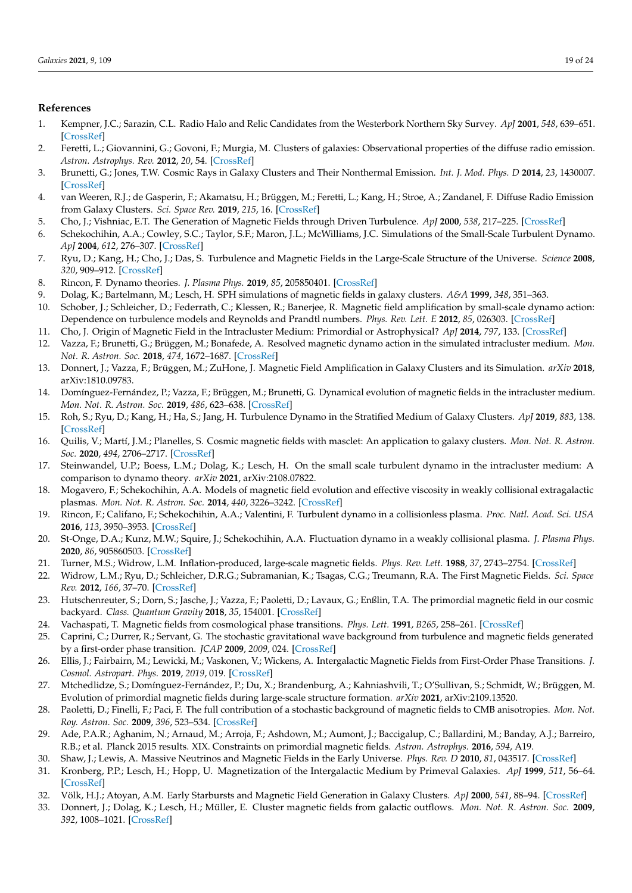#### **References**

- <span id="page-18-0"></span>1. Kempner, J.C.; Sarazin, C.L. Radio Halo and Relic Candidates from the Westerbork Northern Sky Survey. *ApJ* **2001**, *548*, 639–651. [\[CrossRef\]](http://doi.org/10.1086/319024)
- 2. Feretti, L.; Giovannini, G.; Govoni, F.; Murgia, M. Clusters of galaxies: Observational properties of the diffuse radio emission. *Astron. Astrophys. Rev.* **2012**, *20*, 54. [\[CrossRef\]](http://dx.doi.org/10.1007/s00159-012-0054-z)
- 3. Brunetti, G.; Jones, T.W. Cosmic Rays in Galaxy Clusters and Their Nonthermal Emission. *Int. J. Mod. Phys. D* **2014**, *23*, 1430007. [\[CrossRef\]](http://dx.doi.org/10.1142/S0218271814300079)
- <span id="page-18-1"></span>4. van Weeren, R.J.; de Gasperin, F.; Akamatsu, H.; Brüggen, M.; Feretti, L.; Kang, H.; Stroe, A.; Zandanel, F. Diffuse Radio Emission from Galaxy Clusters. *Sci. Space Rev.* **2019**, *215*, 16. [\[CrossRef\]](http://dx.doi.org/10.1007/s11214-019-0584-z)
- <span id="page-18-2"></span>5. Cho, J.; Vishniac, E.T. The Generation of Magnetic Fields through Driven Turbulence. *ApJ* **2000**, *538*, 217–225. [\[CrossRef\]](http://dx.doi.org/10.1086/309127)
- 6. Schekochihin, A.A.; Cowley, S.C.; Taylor, S.F.; Maron, J.L.; McWilliams, J.C. Simulations of the Small-Scale Turbulent Dynamo. *ApJ* **2004**, *612*, 276–307. [\[CrossRef\]](http://dx.doi.org/10.1086/422547)
- <span id="page-18-21"></span>7. Ryu, D.; Kang, H.; Cho, J.; Das, S. Turbulence and Magnetic Fields in the Large-Scale Structure of the Universe. *Science* **2008**, *320*, 909–912. [\[CrossRef\]](http://dx.doi.org/10.1126/science.1154923)
- <span id="page-18-3"></span>8. Rincon, F. Dynamo theories. *J. Plasma Phys.* **2019**, *85*, 205850401. [\[CrossRef\]](http://dx.doi.org/10.1017/S0022377819000539)
- <span id="page-18-4"></span>9. Dolag, K.; Bartelmann, M.; Lesch, H. SPH simulations of magnetic fields in galaxy clusters. *A&A* **1999**, *348*, 351–363.
- 10. Schober, J.; Schleicher, D.; Federrath, C.; Klessen, R.; Banerjee, R. Magnetic field amplification by small-scale dynamo action: Dependence on turbulence models and Reynolds and Prandtl numbers. *Phys. Rev. Lett. E* **2012**, *85*, 026303. [\[CrossRef\]](http://dx.doi.org/10.1103/PhysRevE.85.026303)
- 11. Cho, J. Origin of Magnetic Field in the Intracluster Medium: Primordial or Astrophysical? *ApJ* **2014**, *797*, 133. [\[CrossRef\]](http://dx.doi.org/10.1088/0004-637X/797/2/133)
- <span id="page-18-19"></span>12. Vazza, F.; Brunetti, G.; Brüggen, M.; Bonafede, A. Resolved magnetic dynamo action in the simulated intracluster medium. *Mon. Not. R. Astron. Soc.* **2018**, *474*, 1672–1687. [\[CrossRef\]](http://dx.doi.org/10.1093/mnras/stx2830)
- 13. Donnert, J.; Vazza, F.; Brüggen, M.; ZuHone, J. Magnetic Field Amplification in Galaxy Clusters and its Simulation. *arXiv* **2018**, arXiv:1810.09783.
- <span id="page-18-18"></span>14. Domínguez-Fernández, P.; Vazza, F.; Brüggen, M.; Brunetti, G. Dynamical evolution of magnetic fields in the intracluster medium. *Mon. Not. R. Astron. Soc.* **2019**, *486*, 623–638. [\[CrossRef\]](http://dx.doi.org/10.1093/mnras/stz877)
- 15. Roh, S.; Ryu, D.; Kang, H.; Ha, S.; Jang, H. Turbulence Dynamo in the Stratified Medium of Galaxy Clusters. *ApJ* **2019**, *883*, 138. [\[CrossRef\]](http://dx.doi.org/10.3847/1538-4357/ab3aff)
- <span id="page-18-20"></span>16. Quilis, V.; Martí, J.M.; Planelles, S. Cosmic magnetic fields with masclet: An application to galaxy clusters. *Mon. Not. R. Astron. Soc.* **2020**, *494*, 2706–2717. [\[CrossRef\]](http://dx.doi.org/10.1093/mnras/staa877)
- <span id="page-18-5"></span>17. Steinwandel, U.P.; Boess, L.M.; Dolag, K.; Lesch, H. On the small scale turbulent dynamo in the intracluster medium: A comparison to dynamo theory. *arXiv* **2021**, arXiv:2108.07822.
- <span id="page-18-6"></span>18. Mogavero, F.; Schekochihin, A.A. Models of magnetic field evolution and effective viscosity in weakly collisional extragalactic plasmas. *Mon. Not. R. Astron. Soc.* **2014**, *440*, 3226–3242. [\[CrossRef\]](http://dx.doi.org/10.1093/mnras/stu433)
- 19. Rincon, F.; Califano, F.; Schekochihin, A.A.; Valentini, F. Turbulent dynamo in a collisionless plasma. *Proc. Natl. Acad. Sci. USA* **2016**, *113*, 3950–3953. [\[CrossRef\]](http://dx.doi.org/10.1073/pnas.1525194113)
- <span id="page-18-7"></span>20. St-Onge, D.A.; Kunz, M.W.; Squire, J.; Schekochihin, A.A. Fluctuation dynamo in a weakly collisional plasma. *J. Plasma Phys.* **2020**, *86*, 905860503. [\[CrossRef\]](http://dx.doi.org/10.1017/S0022377820000860)
- <span id="page-18-8"></span>21. Turner, M.S.; Widrow, L.M. Inflation-produced, large-scale magnetic fields. *Phys. Rev. Lett.* **1988**, *37*, 2743–2754. [\[CrossRef\]](http://dx.doi.org/10.1103/PhysRevD.37.2743)
- <span id="page-18-16"></span>22. Widrow, L.M.; Ryu, D.; Schleicher, D.R.G.; Subramanian, K.; Tsagas, C.G.; Treumann, R.A. The First Magnetic Fields. *Sci. Space Rev.* **2012**, *166*, 37–70. [\[CrossRef\]](http://dx.doi.org/10.1007/s11214-011-9833-5)
- <span id="page-18-9"></span>23. Hutschenreuter, S.; Dorn, S.; Jasche, J.; Vazza, F.; Paoletti, D.; Lavaux, G.; Enßlin, T.A. The primordial magnetic field in our cosmic backyard. *Class. Quantum Gravity* **2018**, *35*, 154001. [\[CrossRef\]](http://dx.doi.org/10.1088/1361-6382/aacde0)
- <span id="page-18-10"></span>24. Vachaspati, T. Magnetic fields from cosmological phase transitions. *Phys. Lett.* **1991**, *B265*, 258–261. [\[CrossRef\]](http://dx.doi.org/10.1016/0370-2693(91)90051-Q)
- 25. Caprini, C.; Durrer, R.; Servant, G. The stochastic gravitational wave background from turbulence and magnetic fields generated by a first-order phase transition. *JCAP* **2009**, *2009*, 024. [\[CrossRef\]](http://dx.doi.org/10.1088/1475-7516/2009/12/024)
- <span id="page-18-11"></span>26. Ellis, J.; Fairbairn, M.; Lewicki, M.; Vaskonen, V.; Wickens, A. Intergalactic Magnetic Fields from First-Order Phase Transitions. *J. Cosmol. Astropart. Phys.* **2019**, *2019*, 019. [\[CrossRef\]](http://dx.doi.org/10.1088/1475-7516/2019/09/019)
- <span id="page-18-12"></span>27. Mtchedlidze, S.; Domínguez-Fernández, P.; Du, X.; Brandenburg, A.; Kahniashvili, T.; O'Sullivan, S.; Schmidt, W.; Brüggen, M. Evolution of primordial magnetic fields during large-scale structure formation. *arXiv* **2021**, arXiv:2109.13520.
- <span id="page-18-13"></span>28. Paoletti, D.; Finelli, F.; Paci, F. The full contribution of a stochastic background of magnetic fields to CMB anisotropies. *Mon. Not. Roy. Astron. Soc.* **2009**, *396*, 523–534. [\[CrossRef\]](http://dx.doi.org/10.1111/j.1365-2966.2009.14727.x)
- 29. Ade, P.A.R.; Aghanim, N.; Arnaud, M.; Arroja, F.; Ashdown, M.; Aumont, J.; Baccigalup, C.; Ballardini, M.; Banday, A.J.; Barreiro, R.B.; et al. Planck 2015 results. XIX. Constraints on primordial magnetic fields. *Astron. Astrophys.* **2016**, *594*, A19.
- <span id="page-18-14"></span>30. Shaw, J.; Lewis, A. Massive Neutrinos and Magnetic Fields in the Early Universe. *Phys. Rev. D* **2010**, *81*, 043517. [\[CrossRef\]](http://dx.doi.org/10.1103/PhysRevD.81.043517)
- <span id="page-18-15"></span>31. Kronberg, P.P.; Lesch, H.; Hopp, U. Magnetization of the Intergalactic Medium by Primeval Galaxies. *ApJ* **1999**, *511*, 56–64. [\[CrossRef\]](http://dx.doi.org/10.1086/306662)
- 32. Völk, H.J.; Atoyan, A.M. Early Starbursts and Magnetic Field Generation in Galaxy Clusters. *ApJ* **2000**, *541*, 88–94. [\[CrossRef\]](http://dx.doi.org/10.1086/309395)
- <span id="page-18-17"></span>33. Donnert, J.; Dolag, K.; Lesch, H.; Müller, E. Cluster magnetic fields from galactic outflows. *Mon. Not. R. Astron. Soc.* **2009**, *392*, 1008–1021. [\[CrossRef\]](http://dx.doi.org/10.1111/j.1365-2966.2008.14132.x)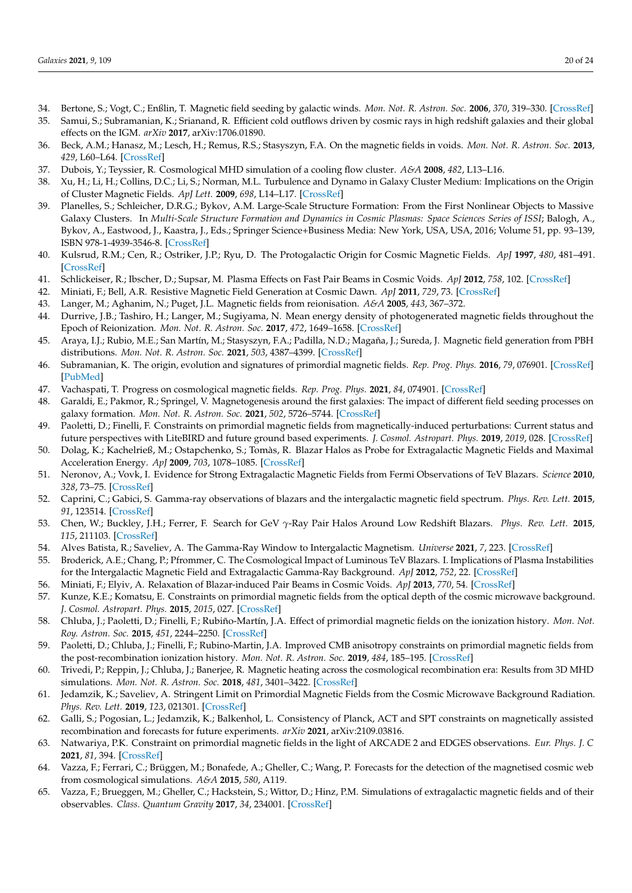- 34. Bertone, S.; Vogt, C.; Enßlin, T. Magnetic field seeding by galactic winds. *Mon. Not. R. Astron. Soc.* **2006**, *370*, 319–330. [\[CrossRef\]](http://dx.doi.org/10.1111/j.1365-2966.2006.10474.x)
- <span id="page-19-0"></span>35. Samui, S.; Subramanian, K.; Srianand, R. Efficient cold outflows driven by cosmic rays in high redshift galaxies and their global effects on the IGM. *arXiv* **2017**, arXiv:1706.01890.
- <span id="page-19-1"></span>36. Beck, A.M.; Hanasz, M.; Lesch, H.; Remus, R.S.; Stasyszyn, F.A. On the magnetic fields in voids. *Mon. Not. R. Astron. Soc.* **2013**, *429*, L60–L64. [\[CrossRef\]](http://dx.doi.org/10.1093/mnrasl/sls026)
- <span id="page-19-2"></span>37. Dubois, Y.; Teyssier, R. Cosmological MHD simulation of a cooling flow cluster. *A&A* **2008**, *482*, L13–L16.
- <span id="page-19-3"></span>38. Xu, H.; Li, H.; Collins, D.C.; Li, S.; Norman, M.L. Turbulence and Dynamo in Galaxy Cluster Medium: Implications on the Origin of Cluster Magnetic Fields. *ApJ Lett.* **2009**, *698*, L14–L17. [\[CrossRef\]](http://dx.doi.org/10.1088/0004-637X/698/1/L14)
- <span id="page-19-4"></span>39. Planelles, S.; Schleicher, D.R.G.; Bykov, A.M. Large-Scale Structure Formation: From the First Nonlinear Objects to Massive Galaxy Clusters. In *Multi-Scale Structure Formation and Dynamics in Cosmic Plasmas: Space Sciences Series of ISSI*; Balogh, A., Bykov, A., Eastwood, J., Kaastra, J., Eds.; Springer Science+Business Media: New York, USA, USA, 2016; Volume 51, pp. 93–139, ISBN 978-1-4939-3546-8. [\[CrossRef\]](http://dx.doi.org/10.1007/978-1-4939-3547-5_4)
- <span id="page-19-5"></span>40. Kulsrud, R.M.; Cen, R.; Ostriker, J.P.; Ryu, D. The Protogalactic Origin for Cosmic Magnetic Fields. *ApJ* **1997**, *480*, 481–491. [\[CrossRef\]](http://dx.doi.org/10.1086/303987)
- <span id="page-19-6"></span>41. Schlickeiser, R.; Ibscher, D.; Supsar, M. Plasma Effects on Fast Pair Beams in Cosmic Voids. *ApJ* **2012**, *758*, 102. [\[CrossRef\]](http://dx.doi.org/10.1088/0004-637X/758/2/102)
- <span id="page-19-7"></span>42. Miniati, F.; Bell, A.R. Resistive Magnetic Field Generation at Cosmic Dawn. *ApJ* **2011**, *729*, 73. [\[CrossRef\]](http://dx.doi.org/10.1088/0004-637X/729/1/73)
- <span id="page-19-8"></span>43. Langer, M.; Aghanim, N.; Puget, J.L. Magnetic fields from reionisation. *A&A* **2005**, *443*, 367–372.
- <span id="page-19-9"></span>44. Durrive, J.B.; Tashiro, H.; Langer, M.; Sugiyama, N. Mean energy density of photogenerated magnetic fields throughout the Epoch of Reionization. *Mon. Not. R. Astron. Soc.* **2017**, *472*, 1649–1658. [\[CrossRef\]](http://dx.doi.org/10.1093/mnras/stx2007)
- <span id="page-19-10"></span>45. Araya, I.J.; Rubio, M.E.; San Martín, M.; Stasyszyn, F.A.; Padilla, N.D.; Magaña, J.; Sureda, J. Magnetic field generation from PBH distributions. *Mon. Not. R. Astron. Soc.* **2021**, *503*, 4387–4399. [\[CrossRef\]](http://dx.doi.org/10.1093/mnras/stab729)
- <span id="page-19-11"></span>46. Subramanian, K. The origin, evolution and signatures of primordial magnetic fields. *Rep. Prog. Phys.* **2016**, *79*, 076901. [\[CrossRef\]](http://dx.doi.org/10.1088/0034-4885/79/7/076901) [\[PubMed\]](http://www.ncbi.nlm.nih.gov/pubmed/27243368)
- <span id="page-19-12"></span>47. Vachaspati, T. Progress on cosmological magnetic fields. *Rep. Prog. Phys.* **2021**, *84*, 074901. [\[CrossRef\]](http://dx.doi.org/10.1088/1361-6633/ac03a9)
- <span id="page-19-13"></span>48. Garaldi, E.; Pakmor, R.; Springel, V. Magnetogenesis around the first galaxies: The impact of different field seeding processes on galaxy formation. *Mon. Not. R. Astron. Soc.* **2021**, *502*, 5726–5744. [\[CrossRef\]](http://dx.doi.org/10.1093/mnras/stab086)
- <span id="page-19-14"></span>49. Paoletti, D.; Finelli, F. Constraints on primordial magnetic fields from magnetically-induced perturbations: Current status and future perspectives with LiteBIRD and future ground based experiments. *J. Cosmol. Astropart. Phys.* **2019**, *2019*, 028. [\[CrossRef\]](http://dx.doi.org/10.1088/1475-7516/2019/11/028)
- <span id="page-19-15"></span>50. Dolag, K.; Kachelrieß, M.; Ostapchenko, S.; Tomàs, R. Blazar Halos as Probe for Extragalactic Magnetic Fields and Maximal Acceleration Energy. *ApJ* **2009**, *703*, 1078–1085. [\[CrossRef\]](http://dx.doi.org/10.1088/0004-637X/703/1/1078)
- 51. Neronov, A.; Vovk, I. Evidence for Strong Extragalactic Magnetic Fields from Fermi Observations of TeV Blazars. *Science* **2010**, *328*, 73–75. [\[CrossRef\]](http://dx.doi.org/10.1126/science.1184192)
- 52. Caprini, C.; Gabici, S. Gamma-ray observations of blazars and the intergalactic magnetic field spectrum. *Phys. Rev. Lett.* **2015**, *91*, 123514. [\[CrossRef\]](http://dx.doi.org/10.1103/PhysRevD.91.123514)
- 53. Chen, W.; Buckley, J.H.; Ferrer, F. Search for GeV *γ*-Ray Pair Halos Around Low Redshift Blazars. *Phys. Rev. Lett.* **2015**, *115*, 211103. [\[CrossRef\]](http://dx.doi.org/10.1103/PhysRevLett.115.211103)
- <span id="page-19-16"></span>54. Alves Batista, R.; Saveliev, A. The Gamma-Ray Window to Intergalactic Magnetism. *Universe* **2021**, *7*, 223. [\[CrossRef\]](http://dx.doi.org/10.3390/universe7070223)
- <span id="page-19-24"></span>55. Broderick, A.E.; Chang, P.; Pfrommer, C. The Cosmological Impact of Luminous TeV Blazars. I. Implications of Plasma Instabilities for the Intergalactic Magnetic Field and Extragalactic Gamma-Ray Background. *ApJ* **2012**, *752*, 22. [\[CrossRef\]](http://dx.doi.org/10.1088/0004-637X/752/1/22)
- <span id="page-19-25"></span>56. Miniati, F.; Elyiv, A. Relaxation of Blazar-induced Pair Beams in Cosmic Voids. *ApJ* **2013**, *770*, 54. [\[CrossRef\]](http://dx.doi.org/10.1088/0004-637X/770/1/54)
- <span id="page-19-17"></span>57. Kunze, K.E.; Komatsu, E. Constraints on primordial magnetic fields from the optical depth of the cosmic microwave background. *J. Cosmol. Astropart. Phys.* **2015**, *2015*, 027. [\[CrossRef\]](http://dx.doi.org/10.1088/1475-7516/2015/06/027)
- 58. Chluba, J.; Paoletti, D.; Finelli, F.; Rubiño-Martín, J.A. Effect of primordial magnetic fields on the ionization history. *Mon. Not. Roy. Astron. Soc.* **2015**, *451*, 2244–2250. [\[CrossRef\]](http://dx.doi.org/10.1093/mnras/stv1096)
- <span id="page-19-18"></span>59. Paoletti, D.; Chluba, J.; Finelli, F.; Rubino-Martin, J.A. Improved CMB anisotropy constraints on primordial magnetic fields from the post-recombination ionization history. *Mon. Not. R. Astron. Soc.* **2019**, *484*, 185–195. [\[CrossRef\]](http://dx.doi.org/10.1093/mnras/sty3521)
- <span id="page-19-19"></span>60. Trivedi, P.; Reppin, J.; Chluba, J.; Banerjee, R. Magnetic heating across the cosmological recombination era: Results from 3D MHD simulations. *Mon. Not. R. Astron. Soc.* **2018**, *481*, 3401–3422. [\[CrossRef\]](http://dx.doi.org/10.1093/mnras/sty1757)
- 61. Jedamzik, K.; Saveliev, A. Stringent Limit on Primordial Magnetic Fields from the Cosmic Microwave Background Radiation. *Phys. Rev. Lett.* **2019**, *123*, 021301. [\[CrossRef\]](http://dx.doi.org/10.1103/PhysRevLett.123.021301)
- <span id="page-19-20"></span>62. Galli, S.; Pogosian, L.; Jedamzik, K.; Balkenhol, L. Consistency of Planck, ACT and SPT constraints on magnetically assisted recombination and forecasts for future experiments. *arXiv* **2021**, arXiv:2109.03816.
- <span id="page-19-21"></span>63. Natwariya, P.K. Constraint on primordial magnetic fields in the light of ARCADE 2 and EDGES observations. *Eur. Phys. J. C* **2021**, *81*, 394. [\[CrossRef\]](http://dx.doi.org/10.1140/epjc/s10052-021-09155-z)
- <span id="page-19-22"></span>64. Vazza, F.; Ferrari, C.; Brüggen, M.; Bonafede, A.; Gheller, C.; Wang, P. Forecasts for the detection of the magnetised cosmic web from cosmological simulations. *A&A* **2015**, *580*, A119.
- <span id="page-19-23"></span>65. Vazza, F.; Brueggen, M.; Gheller, C.; Hackstein, S.; Wittor, D.; Hinz, P.M. Simulations of extragalactic magnetic fields and of their observables. *Class. Quantum Gravity* **2017**, *34*, 234001. [\[CrossRef\]](http://dx.doi.org/10.1088/1361-6382/aa8e60)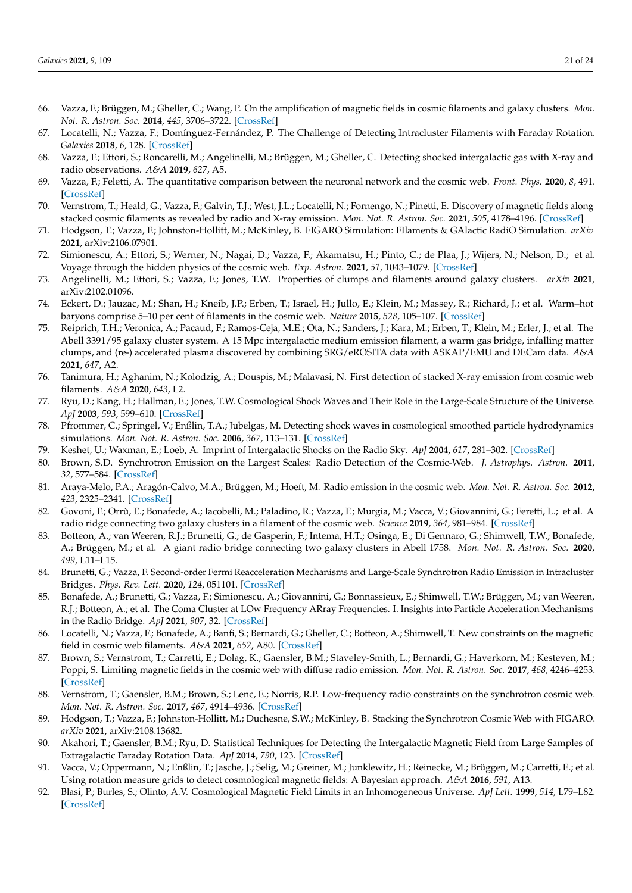- <span id="page-20-0"></span>66. Vazza, F.; Brüggen, M.; Gheller, C.; Wang, P. On the amplification of magnetic fields in cosmic filaments and galaxy clusters. *Mon. Not. R. Astron. Soc.* **2014**, *445*, 3706–3722. [\[CrossRef\]](http://dx.doi.org/10.1093/mnras/stu1896)
- <span id="page-20-1"></span>67. Locatelli, N.; Vazza, F.; Domínguez-Fernández, P. The Challenge of Detecting Intracluster Filaments with Faraday Rotation. *Galaxies* **2018**, *6*, 128. [\[CrossRef\]](http://dx.doi.org/10.3390/galaxies6040128)
- <span id="page-20-2"></span>68. Vazza, F.; Ettori, S.; Roncarelli, M.; Angelinelli, M.; Brüggen, M.; Gheller, C. Detecting shocked intergalactic gas with X-ray and radio observations. *A&A* **2019**, *627*, A5.
- 69. Vazza, F.; Feletti, A. The quantitative comparison between the neuronal network and the cosmic web. *Front. Phys.* **2020**, *8*, 491. [\[CrossRef\]](http://dx.doi.org/10.3389/fphy.2020.525731)
- <span id="page-20-20"></span>70. Vernstrom, T.; Heald, G.; Vazza, F.; Galvin, T.J.; West, J.L.; Locatelli, N.; Fornengo, N.; Pinetti, E. Discovery of magnetic fields along stacked cosmic filaments as revealed by radio and X-ray emission. *Mon. Not. R. Astron. Soc.* **2021**, *505*, 4178–4196. [\[CrossRef\]](http://dx.doi.org/10.1093/mnras/stab1301)
- <span id="page-20-3"></span>71. Hodgson, T.; Vazza, F.; Johnston-Hollitt, M.; McKinley, B. FIGARO Simulation: FIlaments & GAlactic RadiO Simulation. *arXiv* **2021**, arXiv:2106.07901.
- <span id="page-20-4"></span>72. Simionescu, A.; Ettori, S.; Werner, N.; Nagai, D.; Vazza, F.; Akamatsu, H.; Pinto, C.; de Plaa, J.; Wijers, N.; Nelson, D.; et al. Voyage through the hidden physics of the cosmic web. *Exp. Astron.* **2021**, *51*, 1043–1079. [\[CrossRef\]](http://dx.doi.org/10.1007/s10686-021-09720-0)
- <span id="page-20-5"></span>73. Angelinelli, M.; Ettori, S.; Vazza, F.; Jones, T.W. Properties of clumps and filaments around galaxy clusters. *arXiv* **2021**, arXiv:2102.01096.
- <span id="page-20-6"></span>74. Eckert, D.; Jauzac, M.; Shan, H.; Kneib, J.P.; Erben, T.; Israel, H.; Jullo, E.; Klein, M.; Massey, R.; Richard, J.; et al. Warm–hot baryons comprise 5–10 per cent of filaments in the cosmic web. *Nature* **2015**, *528*, 105–107. [\[CrossRef\]](http://dx.doi.org/10.1038/nature16058)
- <span id="page-20-7"></span>75. Reiprich, T.H.; Veronica, A.; Pacaud, F.; Ramos-Ceja, M.E.; Ota, N.; Sanders, J.; Kara, M.; Erben, T.; Klein, M.; Erler, J.; et al. The Abell 3391/95 galaxy cluster system. A 15 Mpc intergalactic medium emission filament, a warm gas bridge, infalling matter clumps, and (re-) accelerated plasma discovered by combining SRG/eROSITA data with ASKAP/EMU and DECam data. *A&A* **2021**, *647*, A2.
- <span id="page-20-8"></span>76. Tanimura, H.; Aghanim, N.; Kolodzig, A.; Douspis, M.; Malavasi, N. First detection of stacked X-ray emission from cosmic web filaments. *A&A* **2020**, *643*, L2.
- <span id="page-20-9"></span>77. Ryu, D.; Kang, H.; Hallman, E.; Jones, T.W. Cosmological Shock Waves and Their Role in the Large-Scale Structure of the Universe. *ApJ* **2003**, *593*, 599–610. [\[CrossRef\]](http://dx.doi.org/10.1086/376723)
- <span id="page-20-10"></span>78. Pfrommer, C.; Springel, V.; Enßlin, T.A.; Jubelgas, M. Detecting shock waves in cosmological smoothed particle hydrodynamics simulations. *Mon. Not. R. Astron. Soc.* **2006**, *367*, 113–131. [\[CrossRef\]](http://dx.doi.org/10.1111/j.1365-2966.2005.09953.x)
- <span id="page-20-11"></span>79. Keshet, U.; Waxman, E.; Loeb, A. Imprint of Intergalactic Shocks on the Radio Sky. *ApJ* **2004**, *617*, 281–302. [\[CrossRef\]](http://dx.doi.org/10.1086/424837)
- 80. Brown, S.D. Synchrotron Emission on the Largest Scales: Radio Detection of the Cosmic-Web. *J. Astrophys. Astron.* **2011**, *32*, 577–584. [\[CrossRef\]](http://dx.doi.org/10.1007/s12036-011-9114-4)
- <span id="page-20-12"></span>81. Araya-Melo, P.A.; Aragón-Calvo, M.A.; Brüggen, M.; Hoeft, M. Radio emission in the cosmic web. *Mon. Not. R. Astron. Soc.* **2012**, *423*, 2325–2341. [\[CrossRef\]](http://dx.doi.org/10.1111/j.1365-2966.2012.21042.x)
- <span id="page-20-13"></span>82. Govoni, F.; Orrù, E.; Bonafede, A.; Iacobelli, M.; Paladino, R.; Vazza, F.; Murgia, M.; Vacca, V.; Giovannini, G.; Feretti, L.; et al. A radio ridge connecting two galaxy clusters in a filament of the cosmic web. *Science* **2019**, *364*, 981–984. [\[CrossRef\]](http://dx.doi.org/10.1126/science.aat7500)
- <span id="page-20-14"></span>83. Botteon, A.; van Weeren, R.J.; Brunetti, G.; de Gasperin, F.; Intema, H.T.; Osinga, E.; Di Gennaro, G.; Shimwell, T.W.; Bonafede, A.; Brüggen, M.; et al. A giant radio bridge connecting two galaxy clusters in Abell 1758. *Mon. Not. R. Astron. Soc.* **2020**, *499*, L11–L15.
- <span id="page-20-15"></span>84. Brunetti, G.; Vazza, F. Second-order Fermi Reacceleration Mechanisms and Large-Scale Synchrotron Radio Emission in Intracluster Bridges. *Phys. Rev. Lett.* **2020**, *124*, 051101. [\[CrossRef\]](http://dx.doi.org/10.1103/PhysRevLett.124.051101)
- <span id="page-20-16"></span>85. Bonafede, A.; Brunetti, G.; Vazza, F.; Simionescu, A.; Giovannini, G.; Bonnassieux, E.; Shimwell, T.W.; Brüggen, M.; van Weeren, R.J.; Botteon, A.; et al. The Coma Cluster at LOw Frequency ARray Frequencies. I. Insights into Particle Acceleration Mechanisms in the Radio Bridge. *ApJ* **2021**, *907*, 32. [\[CrossRef\]](http://dx.doi.org/10.3847/1538-4357/abcb8f)
- <span id="page-20-17"></span>86. Locatelli, N.; Vazza, F.; Bonafede, A.; Banfi, S.; Bernardi, G.; Gheller, C.; Botteon, A.; Shimwell, T. New constraints on the magnetic field in cosmic web filaments. *A&A* **2021**, *652*, A80. [\[CrossRef\]](http://dx.doi.org/10.1051/0004-6361/202140526)
- <span id="page-20-18"></span>87. Brown, S.; Vernstrom, T.; Carretti, E.; Dolag, K.; Gaensler, B.M.; Staveley-Smith, L.; Bernardi, G.; Haverkorn, M.; Kesteven, M.; Poppi, S. Limiting magnetic fields in the cosmic web with diffuse radio emission. *Mon. Not. R. Astron. Soc.* **2017**, *468*, 4246–4253. [\[CrossRef\]](http://dx.doi.org/10.1093/mnras/stx746)
- <span id="page-20-19"></span>88. Vernstrom, T.; Gaensler, B.M.; Brown, S.; Lenc, E.; Norris, R.P. Low-frequency radio constraints on the synchrotron cosmic web. *Mon. Not. R. Astron. Soc.* **2017**, *467*, 4914–4936. [\[CrossRef\]](http://dx.doi.org/10.1093/mnras/stx424)
- <span id="page-20-21"></span>89. Hodgson, T.; Vazza, F.; Johnston-Hollitt, M.; Duchesne, S.W.; McKinley, B. Stacking the Synchrotron Cosmic Web with FIGARO. *arXiv* **2021**, arXiv:2108.13682.
- <span id="page-20-22"></span>90. Akahori, T.; Gaensler, B.M.; Ryu, D. Statistical Techniques for Detecting the Intergalactic Magnetic Field from Large Samples of Extragalactic Faraday Rotation Data. *ApJ* **2014**, *790*, 123. [\[CrossRef\]](http://dx.doi.org/10.1088/0004-637X/790/2/123)
- <span id="page-20-23"></span>91. Vacca, V.; Oppermann, N.; Enßlin, T.; Jasche, J.; Selig, M.; Greiner, M.; Junklewitz, H.; Reinecke, M.; Brüggen, M.; Carretti, E.; et al. Using rotation measure grids to detect cosmological magnetic fields: A Bayesian approach. *A&A* **2016**, *591*, A13.
- 92. Blasi, P.; Burles, S.; Olinto, A.V. Cosmological Magnetic Field Limits in an Inhomogeneous Universe. *ApJ Lett.* **1999**, *514*, L79–L82. [\[CrossRef\]](http://dx.doi.org/10.1086/311958)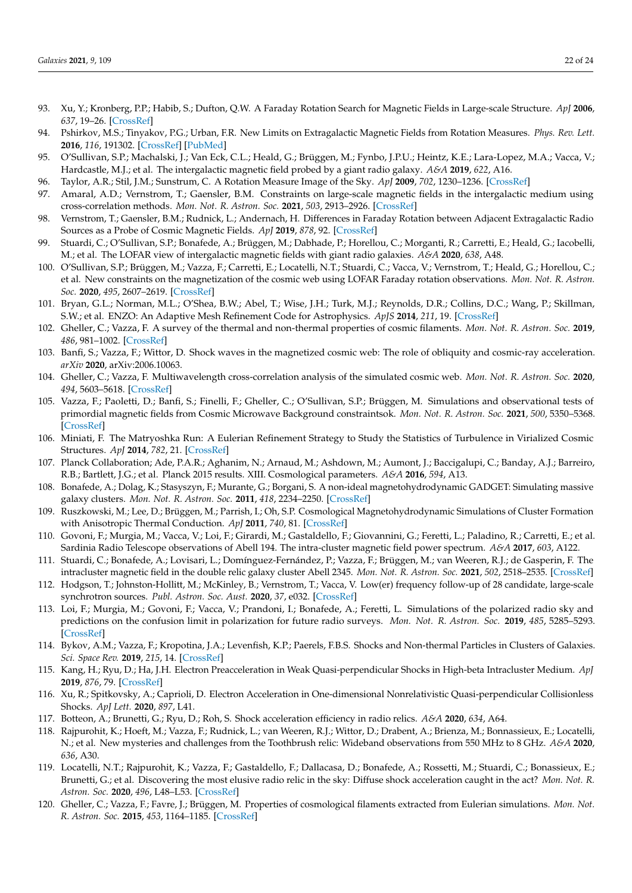- <span id="page-21-0"></span>93. Xu, Y.; Kronberg, P.P.; Habib, S.; Dufton, Q.W. A Faraday Rotation Search for Magnetic Fields in Large-scale Structure. *ApJ* **2006**, *637*, 19–26. [\[CrossRef\]](http://dx.doi.org/10.1086/498336)
- <span id="page-21-1"></span>94. Pshirkov, M.S.; Tinyakov, P.G.; Urban, F.R. New Limits on Extragalactic Magnetic Fields from Rotation Measures. *Phys. Rev. Lett.* **2016**, *116*, 191302. [\[CrossRef\]](http://dx.doi.org/10.1103/PhysRevLett.116.191302) [\[PubMed\]](http://www.ncbi.nlm.nih.gov/pubmed/27232014)
- <span id="page-21-2"></span>95. O'Sullivan, S.P.; Machalski, J.; Van Eck, C.L.; Heald, G.; Brüggen, M.; Fynbo, J.P.U.; Heintz, K.E.; Lara-Lopez, M.A.; Vacca, V.; Hardcastle, M.J.; et al. The intergalactic magnetic field probed by a giant radio galaxy. *A&A* **2019**, *622*, A16.
- <span id="page-21-3"></span>96. Taylor, A.R.; Stil, J.M.; Sunstrum, C. A Rotation Measure Image of the Sky. *ApJ* **2009**, *702*, 1230–1236. [\[CrossRef\]](http://dx.doi.org/10.1088/0004-637X/702/2/1230)
- <span id="page-21-4"></span>97. Amaral, A.D.; Vernstrom, T.; Gaensler, B.M. Constraints on large-scale magnetic fields in the intergalactic medium using cross-correlation methods. *Mon. Not. R. Astron. Soc.* **2021**, *503*, 2913–2926. [\[CrossRef\]](http://dx.doi.org/10.1093/mnras/stab564)
- <span id="page-21-5"></span>98. Vernstrom, T.; Gaensler, B.M.; Rudnick, L.; Andernach, H. Differences in Faraday Rotation between Adjacent Extragalactic Radio Sources as a Probe of Cosmic Magnetic Fields. *ApJ* **2019**, *878*, 92. [\[CrossRef\]](http://dx.doi.org/10.3847/1538-4357/ab1f83)
- <span id="page-21-6"></span>99. Stuardi, C.; O'Sullivan, S.P.; Bonafede, A.; Brüggen, M.; Dabhade, P.; Horellou, C.; Morganti, R.; Carretti, E.; Heald, G.; Iacobelli, M.; et al. The LOFAR view of intergalactic magnetic fields with giant radio galaxies. *A&A* **2020**, *638*, A48.
- <span id="page-21-7"></span>100. O'Sullivan, S.P.; Brüggen, M.; Vazza, F.; Carretti, E.; Locatelli, N.T.; Stuardi, C.; Vacca, V.; Vernstrom, T.; Heald, G.; Horellou, C.; et al. New constraints on the magnetization of the cosmic web using LOFAR Faraday rotation observations. *Mon. Not. R. Astron. Soc.* **2020**, *495*, 2607–2619. [\[CrossRef\]](http://dx.doi.org/10.1093/mnras/staa1395)
- <span id="page-21-8"></span>101. Bryan, G.L.; Norman, M.L.; O'Shea, B.W.; Abel, T.; Wise, J.H.; Turk, M.J.; Reynolds, D.R.; Collins, D.C.; Wang, P.; Skillman, S.W.; et al. ENZO: An Adaptive Mesh Refinement Code for Astrophysics. *ApJS* **2014**, *211*, 19. [\[CrossRef\]](http://dx.doi.org/10.1088/0067-0049/211/2/19)
- <span id="page-21-9"></span>102. Gheller, C.; Vazza, F. A survey of the thermal and non-thermal properties of cosmic filaments. *Mon. Not. R. Astron. Soc.* **2019**, *486*, 981–1002. [\[CrossRef\]](http://dx.doi.org/10.1093/mnras/stz843)
- <span id="page-21-24"></span>103. Banfi, S.; Vazza, F.; Wittor, D. Shock waves in the magnetized cosmic web: The role of obliquity and cosmic-ray acceleration. *arXiv* **2020**, arXiv:2006.10063.
- <span id="page-21-17"></span>104. Gheller, C.; Vazza, F. Multiwavelength cross-correlation analysis of the simulated cosmic web. *Mon. Not. R. Astron. Soc.* **2020**, *494*, 5603–5618. [\[CrossRef\]](http://dx.doi.org/10.1093/mnras/staa1032)
- <span id="page-21-10"></span>105. Vazza, F.; Paoletti, D.; Banfi, S.; Finelli, F.; Gheller, C.; O'Sullivan, S.P.; Brüggen, M. Simulations and observational tests of primordial magnetic fields from Cosmic Microwave Background constraintsok. *Mon. Not. R. Astron. Soc.* **2021**, *500*, 5350–5368. [\[CrossRef\]](http://dx.doi.org/10.1093/mnras/staa3532)
- <span id="page-21-11"></span>106. Miniati, F. The Matryoshka Run: A Eulerian Refinement Strategy to Study the Statistics of Turbulence in Virialized Cosmic Structures. *ApJ* **2014**, *782*, 21. [\[CrossRef\]](http://dx.doi.org/10.1088/0004-637X/782/1/21)
- <span id="page-21-12"></span>107. Planck Collaboration; Ade, P.A.R.; Aghanim, N.; Arnaud, M.; Ashdown, M.; Aumont, J.; Baccigalupi, C.; Banday, A.J.; Barreiro, R.B.; Bartlett, J.G.; et al. Planck 2015 results. XIII. Cosmological parameters. *A&A* **2016**, *594*, A13.
- <span id="page-21-13"></span>108. Bonafede, A.; Dolag, K.; Stasyszyn, F.; Murante, G.; Borgani, S. A non-ideal magnetohydrodynamic GADGET: Simulating massive galaxy clusters. *Mon. Not. R. Astron. Soc.* **2011**, *418*, 2234–2250. [\[CrossRef\]](http://dx.doi.org/10.1111/j.1365-2966.2011.19523.x)
- <span id="page-21-14"></span>109. Ruszkowski, M.; Lee, D.; Brüggen, M.; Parrish, I.; Oh, S.P. Cosmological Magnetohydrodynamic Simulations of Cluster Formation with Anisotropic Thermal Conduction. *ApJ* **2011**, *740*, 81. [\[CrossRef\]](http://dx.doi.org/10.1088/0004-637X/740/2/81)
- <span id="page-21-15"></span>110. Govoni, F.; Murgia, M.; Vacca, V.; Loi, F.; Girardi, M.; Gastaldello, F.; Giovannini, G.; Feretti, L.; Paladino, R.; Carretti, E.; et al. Sardinia Radio Telescope observations of Abell 194. The intra-cluster magnetic field power spectrum. *A&A* **2017**, *603*, A122.
- <span id="page-21-16"></span>111. Stuardi, C.; Bonafede, A.; Lovisari, L.; Domínguez-Fernández, P.; Vazza, F.; Brüggen, M.; van Weeren, R.J.; de Gasperin, F. The intracluster magnetic field in the double relic galaxy cluster Abell 2345. *Mon. Not. R. Astron. Soc.* **2021**, *502*, 2518–2535. [\[CrossRef\]](http://dx.doi.org/10.1093/mnras/stab218)
- <span id="page-21-18"></span>112. Hodgson, T.; Johnston-Hollitt, M.; McKinley, B.; Vernstrom, T.; Vacca, V. Low(er) frequency follow-up of 28 candidate, large-scale synchrotron sources. *Publ. Astron. Soc. Aust.* **2020**, *37*, e032. [\[CrossRef\]](http://dx.doi.org/10.1017/pasa.2020.26)
- <span id="page-21-19"></span>113. Loi, F.; Murgia, M.; Govoni, F.; Vacca, V.; Prandoni, I.; Bonafede, A.; Feretti, L. Simulations of the polarized radio sky and predictions on the confusion limit in polarization for future radio surveys. *Mon. Not. R. Astron. Soc.* **2019**, *485*, 5285–5293. [\[CrossRef\]](http://dx.doi.org/10.1093/mnras/stz350)
- <span id="page-21-20"></span>114. Bykov, A.M.; Vazza, F.; Kropotina, J.A.; Levenfish, K.P.; Paerels, F.B.S. Shocks and Non-thermal Particles in Clusters of Galaxies. *Sci. Space Rev.* **2019**, *215*, 14. [\[CrossRef\]](http://dx.doi.org/10.1007/s11214-019-0585-y)
- 115. Kang, H.; Ryu, D.; Ha, J.H. Electron Preacceleration in Weak Quasi-perpendicular Shocks in High-beta Intracluster Medium. *ApJ* **2019**, *876*, 79. [\[CrossRef\]](http://dx.doi.org/10.3847/1538-4357/ab16d1)
- <span id="page-21-21"></span>116. Xu, R.; Spitkovsky, A.; Caprioli, D. Electron Acceleration in One-dimensional Nonrelativistic Quasi-perpendicular Collisionless Shocks. *ApJ Lett.* **2020**, *897*, L41.
- <span id="page-21-22"></span>117. Botteon, A.; Brunetti, G.; Ryu, D.; Roh, S. Shock acceleration efficiency in radio relics. *A&A* **2020**, *634*, A64.
- 118. Rajpurohit, K.; Hoeft, M.; Vazza, F.; Rudnick, L.; van Weeren, R.J.; Wittor, D.; Drabent, A.; Brienza, M.; Bonnassieux, E.; Locatelli, N.; et al. New mysteries and challenges from the Toothbrush relic: Wideband observations from 550 MHz to 8 GHz. *A&A* **2020**, *636*, A30.
- <span id="page-21-23"></span>119. Locatelli, N.T.; Rajpurohit, K.; Vazza, F.; Gastaldello, F.; Dallacasa, D.; Bonafede, A.; Rossetti, M.; Stuardi, C.; Bonassieux, E.; Brunetti, G.; et al. Discovering the most elusive radio relic in the sky: Diffuse shock acceleration caught in the act? *Mon. Not. R. Astron. Soc.* **2020**, *496*, L48–L53. [\[CrossRef\]](http://dx.doi.org/10.1093/mnrasl/slaa074)
- <span id="page-21-25"></span>120. Gheller, C.; Vazza, F.; Favre, J.; Brüggen, M. Properties of cosmological filaments extracted from Eulerian simulations. *Mon. Not. R. Astron. Soc.* **2015**, *453*, 1164–1185. [\[CrossRef\]](http://dx.doi.org/10.1093/mnras/stv1646)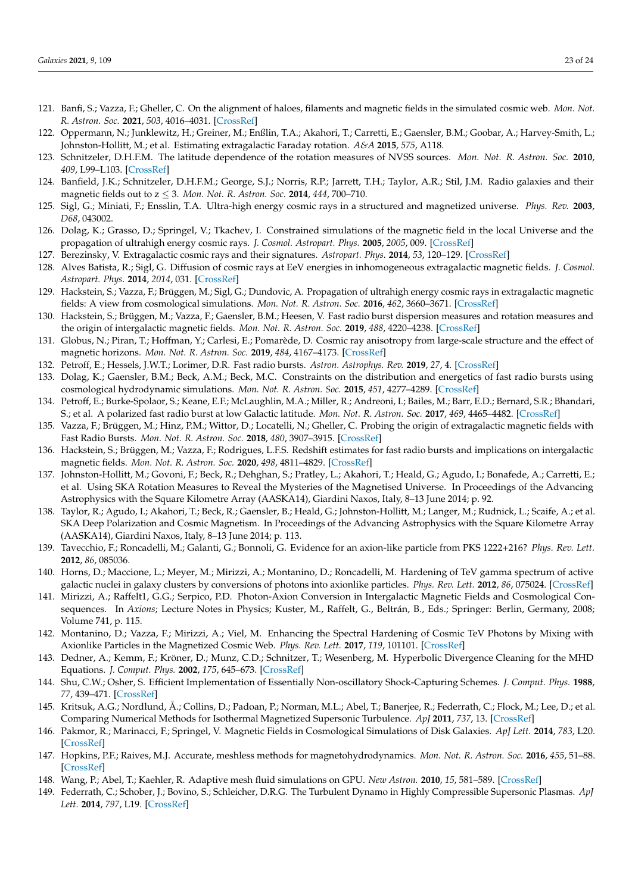- <span id="page-22-0"></span>121. Banfi, S.; Vazza, F.; Gheller, C. On the alignment of haloes, filaments and magnetic fields in the simulated cosmic web. *Mon. Not. R. Astron. Soc.* **2021**, *503*, 4016–4031. [\[CrossRef\]](http://dx.doi.org/10.1093/mnras/stab655)
- <span id="page-22-1"></span>122. Oppermann, N.; Junklewitz, H.; Greiner, M.; Enßlin, T.A.; Akahori, T.; Carretti, E.; Gaensler, B.M.; Goobar, A.; Harvey-Smith, L.; Johnston-Hollitt, M.; et al. Estimating extragalactic Faraday rotation. *A&A* **2015**, *575*, A118.
- <span id="page-22-2"></span>123. Schnitzeler, D.H.F.M. The latitude dependence of the rotation measures of NVSS sources. *Mon. Not. R. Astron. Soc.* **2010**, *409*, L99–L103. [\[CrossRef\]](http://dx.doi.org/10.1111/j.1745-3933.2010.00957.x)
- <span id="page-22-3"></span>124. Banfield, J.K.; Schnitzeler, D.H.F.M.; George, S.J.; Norris, R.P.; Jarrett, T.H.; Taylor, A.R.; Stil, J.M. Radio galaxies and their magnetic fields out to z ≤ 3. *Mon. Not. R. Astron. Soc.* **2014**, *444*, 700–710.
- <span id="page-22-4"></span>125. Sigl, G.; Miniati, F.; Ensslin, T.A. Ultra-high energy cosmic rays in a structured and magnetized universe. *Phys. Rev.* **2003**, *D68*, 043002.
- <span id="page-22-5"></span>126. Dolag, K.; Grasso, D.; Springel, V.; Tkachev, I. Constrained simulations of the magnetic field in the local Universe and the propagation of ultrahigh energy cosmic rays. *J. Cosmol. Astropart. Phys.* **2005**, *2005*, 009. [\[CrossRef\]](http://dx.doi.org/10.1088/1475-7516/2005/01/009)
- 127. Berezinsky, V. Extragalactic cosmic rays and their signatures. *Astropart. Phys.* **2014**, *53*, 120–129. [\[CrossRef\]](http://dx.doi.org/10.1016/j.astropartphys.2013.04.001)
- <span id="page-22-6"></span>128. Alves Batista, R.; Sigl, G. Diffusion of cosmic rays at EeV energies in inhomogeneous extragalactic magnetic fields. *J. Cosmol. Astropart. Phys.* **2014**, *2014*, 031. [\[CrossRef\]](http://dx.doi.org/10.1088/1475-7516/2014/11/031)
- <span id="page-22-7"></span>129. Hackstein, S.; Vazza, F.; Brüggen, M.; Sigl, G.; Dundovic, A. Propagation of ultrahigh energy cosmic rays in extragalactic magnetic fields: A view from cosmological simulations. *Mon. Not. R. Astron. Soc.* **2016**, *462*, 3660–3671. [\[CrossRef\]](http://dx.doi.org/10.1093/mnras/stw1903)
- <span id="page-22-8"></span>130. Hackstein, S.; Brüggen, M.; Vazza, F.; Gaensler, B.M.; Heesen, V. Fast radio burst dispersion measures and rotation measures and the origin of intergalactic magnetic fields. *Mon. Not. R. Astron. Soc.* **2019**, *488*, 4220–4238. [\[CrossRef\]](http://dx.doi.org/10.1093/mnras/stz2033)
- <span id="page-22-9"></span>131. Globus, N.; Piran, T.; Hoffman, Y.; Carlesi, E.; Pomarède, D. Cosmic ray anisotropy from large-scale structure and the effect of magnetic horizons. *Mon. Not. R. Astron. Soc.* **2019**, *484*, 4167–4173. [\[CrossRef\]](http://dx.doi.org/10.1093/mnras/stz164)
- <span id="page-22-10"></span>132. Petroff, E.; Hessels, J.W.T.; Lorimer, D.R. Fast radio bursts. *Astron. Astrophys. Rev.* **2019**, *27*, 4. [\[CrossRef\]](http://dx.doi.org/10.1007/s00159-019-0116-6)
- <span id="page-22-11"></span>133. Dolag, K.; Gaensler, B.M.; Beck, A.M.; Beck, M.C. Constraints on the distribution and energetics of fast radio bursts using cosmological hydrodynamic simulations. *Mon. Not. R. Astron. Soc.* **2015**, *451*, 4277–4289. [\[CrossRef\]](http://dx.doi.org/10.1093/mnras/stv1190)
- 134. Petroff, E.; Burke-Spolaor, S.; Keane, E.F.; McLaughlin, M.A.; Miller, R.; Andreoni, I.; Bailes, M.; Barr, E.D.; Bernard, S.R.; Bhandari, S.; et al. A polarized fast radio burst at low Galactic latitude. *Mon. Not. R. Astron. Soc.* **2017**, *469*, 4465–4482. [\[CrossRef\]](http://dx.doi.org/10.1093/mnras/stx1098)
- <span id="page-22-12"></span>135. Vazza, F.; Brüggen, M.; Hinz, P.M.; Wittor, D.; Locatelli, N.; Gheller, C. Probing the origin of extragalactic magnetic fields with Fast Radio Bursts. *Mon. Not. R. Astron. Soc.* **2018**, *480*, 3907–3915. [\[CrossRef\]](http://dx.doi.org/10.1093/mnras/sty1968)
- <span id="page-22-13"></span>136. Hackstein, S.; Brüggen, M.; Vazza, F.; Rodrigues, L.F.S. Redshift estimates for fast radio bursts and implications on intergalactic magnetic fields. *Mon. Not. R. Astron. Soc.* **2020**, *498*, 4811–4829. [\[CrossRef\]](http://dx.doi.org/10.1093/mnras/staa2572)
- <span id="page-22-14"></span>137. Johnston-Hollitt, M.; Govoni, F.; Beck, R.; Dehghan, S.; Pratley, L.; Akahori, T.; Heald, G.; Agudo, I.; Bonafede, A.; Carretti, E.; et al. Using SKA Rotation Measures to Reveal the Mysteries of the Magnetised Universe. In Proceedings of the Advancing Astrophysics with the Square Kilometre Array (AASKA14), Giardini Naxos, Italy, 8–13 June 2014; p. 92.
- <span id="page-22-15"></span>138. Taylor, R.; Agudo, I.; Akahori, T.; Beck, R.; Gaensler, B.; Heald, G.; Johnston-Hollitt, M.; Langer, M.; Rudnick, L.; Scaife, A.; et al. SKA Deep Polarization and Cosmic Magnetism. In Proceedings of the Advancing Astrophysics with the Square Kilometre Array (AASKA14), Giardini Naxos, Italy, 8–13 June 2014; p. 113.
- <span id="page-22-16"></span>139. Tavecchio, F.; Roncadelli, M.; Galanti, G.; Bonnoli, G. Evidence for an axion-like particle from PKS 1222+216? *Phys. Rev. Lett.* **2012**, *86*, 085036.
- <span id="page-22-17"></span>140. Horns, D.; Maccione, L.; Meyer, M.; Mirizzi, A.; Montanino, D.; Roncadelli, M. Hardening of TeV gamma spectrum of active galactic nuclei in galaxy clusters by conversions of photons into axionlike particles. *Phys. Rev. Lett.* **2012**, *86*, 075024. [\[CrossRef\]](http://dx.doi.org/10.1103/PhysRevD.86.075024)
- <span id="page-22-18"></span>141. Mirizzi, A.; Raffelt1, G.G.; Serpico, P.D. Photon-Axion Conversion in Intergalactic Magnetic Fields and Cosmological Consequences. In *Axions*; Lecture Notes in Physics; Kuster, M., Raffelt, G., Beltrán, B., Eds.; Springer: Berlin, Germany, 2008; Volume 741, p. 115.
- <span id="page-22-19"></span>142. Montanino, D.; Vazza, F.; Mirizzi, A.; Viel, M. Enhancing the Spectral Hardening of Cosmic TeV Photons by Mixing with Axionlike Particles in the Magnetized Cosmic Web. *Phys. Rev. Lett.* **2017**, *119*, 101101. [\[CrossRef\]](http://dx.doi.org/10.1103/PhysRevLett.119.101101)
- <span id="page-22-20"></span>143. Dedner, A.; Kemm, F.; Kröner, D.; Munz, C.D.; Schnitzer, T.; Wesenberg, M. Hyperbolic Divergence Cleaning for the MHD Equations. *J. Comput. Phys.* **2002**, *175*, 645–673. [\[CrossRef\]](http://dx.doi.org/10.1006/jcph.2001.6961)
- <span id="page-22-21"></span>144. Shu, C.W.; Osher, S. Efficient Implementation of Essentially Non-oscillatory Shock-Capturing Schemes. *J. Comput. Phys.* **1988**, *77*, 439–471. [\[CrossRef\]](http://dx.doi.org/10.1016/0021-9991(88)90177-5)
- <span id="page-22-22"></span>145. Kritsuk, A.G.; Nordlund, Å.; Collins, D.; Padoan, P.; Norman, M.L.; Abel, T.; Banerjee, R.; Federrath, C.; Flock, M.; Lee, D.; et al. Comparing Numerical Methods for Isothermal Magnetized Supersonic Turbulence. *ApJ* **2011**, *737*, 13. [\[CrossRef\]](http://dx.doi.org/10.1088/0004-637X/737/1/13)
- 146. Pakmor, R.; Marinacci, F.; Springel, V. Magnetic Fields in Cosmological Simulations of Disk Galaxies. *ApJ Lett.* **2014**, *783*, L20. [\[CrossRef\]](http://dx.doi.org/10.1088/2041-8205/783/1/L20)
- <span id="page-22-23"></span>147. Hopkins, P.F.; Raives, M.J. Accurate, meshless methods for magnetohydrodynamics. *Mon. Not. R. Astron. Soc.* **2016**, *455*, 51–88. [\[CrossRef\]](http://dx.doi.org/10.1093/mnras/stv2180)
- <span id="page-22-24"></span>148. Wang, P.; Abel, T.; Kaehler, R. Adaptive mesh fluid simulations on GPU. *New Astron.* **2010**, *15*, 581–589. [\[CrossRef\]](http://dx.doi.org/10.1016/j.newast.2009.10.002)
- <span id="page-22-25"></span>149. Federrath, C.; Schober, J.; Bovino, S.; Schleicher, D.R.G. The Turbulent Dynamo in Highly Compressible Supersonic Plasmas. *ApJ Lett.* **2014**, *797*, L19. [\[CrossRef\]](http://dx.doi.org/10.1088/2041-8205/797/2/L19)